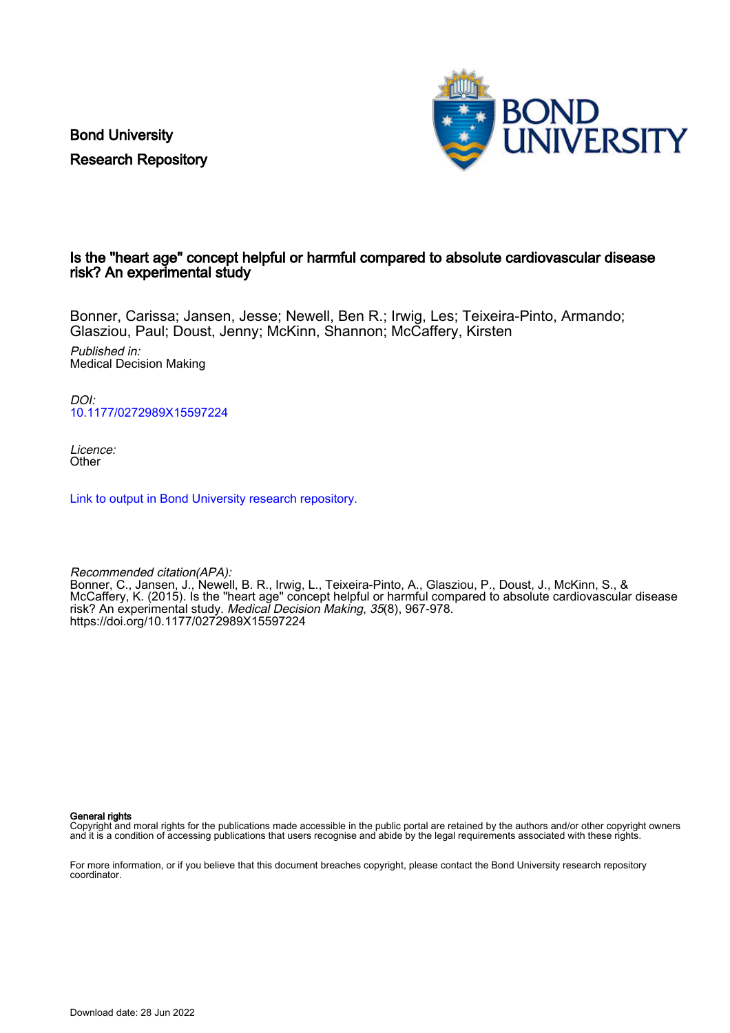Bond University Research Repository



# Is the "heart age" concept helpful or harmful compared to absolute cardiovascular disease risk? An experimental study

Bonner, Carissa; Jansen, Jesse; Newell, Ben R.; Irwig, Les; Teixeira-Pinto, Armando; Glasziou, Paul; Doust, Jenny; McKinn, Shannon; McCaffery, Kirsten

Published in: Medical Decision Making

DOI: [10.1177/0272989X15597224](https://doi.org/10.1177/0272989X15597224)

Licence: **Other** 

[Link to output in Bond University research repository.](https://research.bond.edu.au/en/publications/9cd2bf2b-21cc-4f64-8281-a38cd78f7d6d)

Recommended citation(APA): Bonner, C., Jansen, J., Newell, B. R., Irwig, L., Teixeira-Pinto, A., Glasziou, P., Doust, J., McKinn, S., & McCaffery, K. (2015). Is the "heart age" concept helpful or harmful compared to absolute cardiovascular disease risk? An experimental study. Medical Decision Making, 35(8), 967-978. <https://doi.org/10.1177/0272989X15597224>

General rights

Copyright and moral rights for the publications made accessible in the public portal are retained by the authors and/or other copyright owners and it is a condition of accessing publications that users recognise and abide by the legal requirements associated with these rights.

For more information, or if you believe that this document breaches copyright, please contact the Bond University research repository coordinator.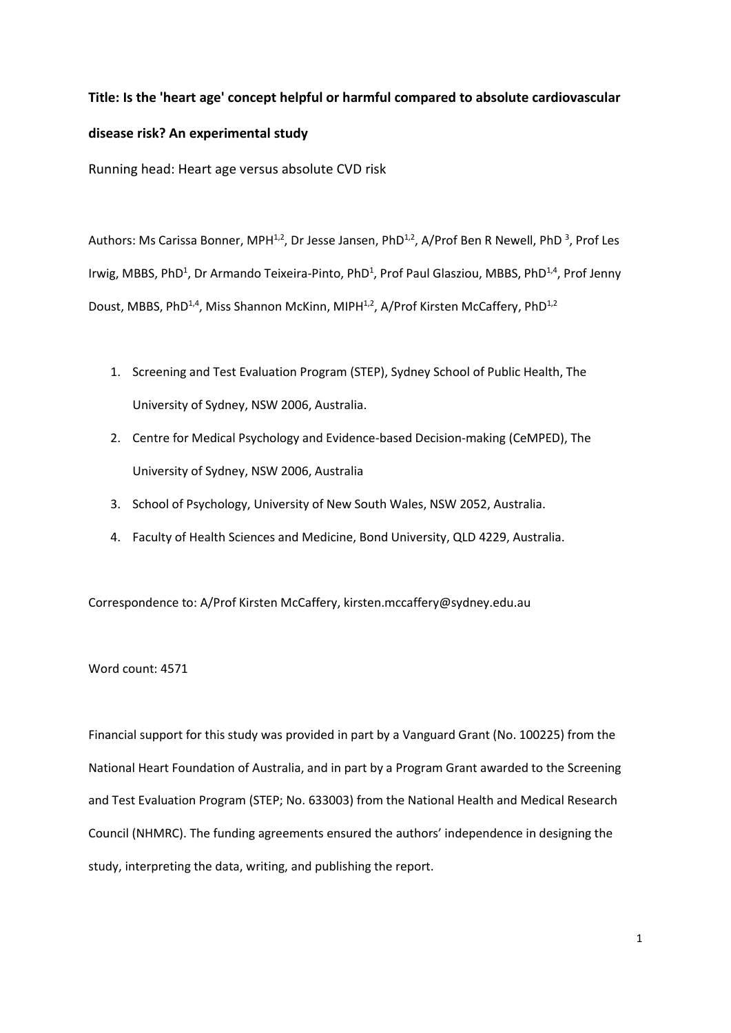# **Title: Is the 'heart age' concept helpful or harmful compared to absolute cardiovascular disease risk? An experimental study**

Running head: Heart age versus absolute CVD risk

Authors: Ms Carissa Bonner, MPH<sup>1,2</sup>, Dr Jesse Jansen, PhD<sup>1,2</sup>, A/Prof Ben R Newell, PhD<sup>3</sup>, Prof Les Irwig, MBBS, PhD<sup>1</sup>, Dr Armando Teixeira-Pinto, PhD<sup>1</sup>, Prof Paul Glasziou, MBBS, PhD<sup>1,4</sup>, Prof Jenny Doust, MBBS, PhD<sup>1,4</sup>, Miss Shannon McKinn, MIPH<sup>1,2</sup>, A/Prof Kirsten McCaffery, PhD<sup>1,2</sup>

- 1. Screening and Test Evaluation Program (STEP), Sydney School of Public Health, The University of Sydney, NSW 2006, Australia.
- 2. Centre for Medical Psychology and Evidence-based Decision-making (CeMPED), The University of Sydney, NSW 2006, Australia
- 3. School of Psychology, University of New South Wales, NSW 2052, Australia.
- 4. Faculty of Health Sciences and Medicine, Bond University, QLD 4229, Australia.

Correspondence to: A/Prof Kirsten McCaffery, kirsten.mccaffery@sydney.edu.au

Word count: 4571

Financial support for this study was provided in part by a Vanguard Grant (No. 100225) from the National Heart Foundation of Australia, and in part by a Program Grant awarded to the Screening and Test Evaluation Program (STEP; No. 633003) from the National Health and Medical Research Council (NHMRC). The funding agreements ensured the authors' independence in designing the study, interpreting the data, writing, and publishing the report.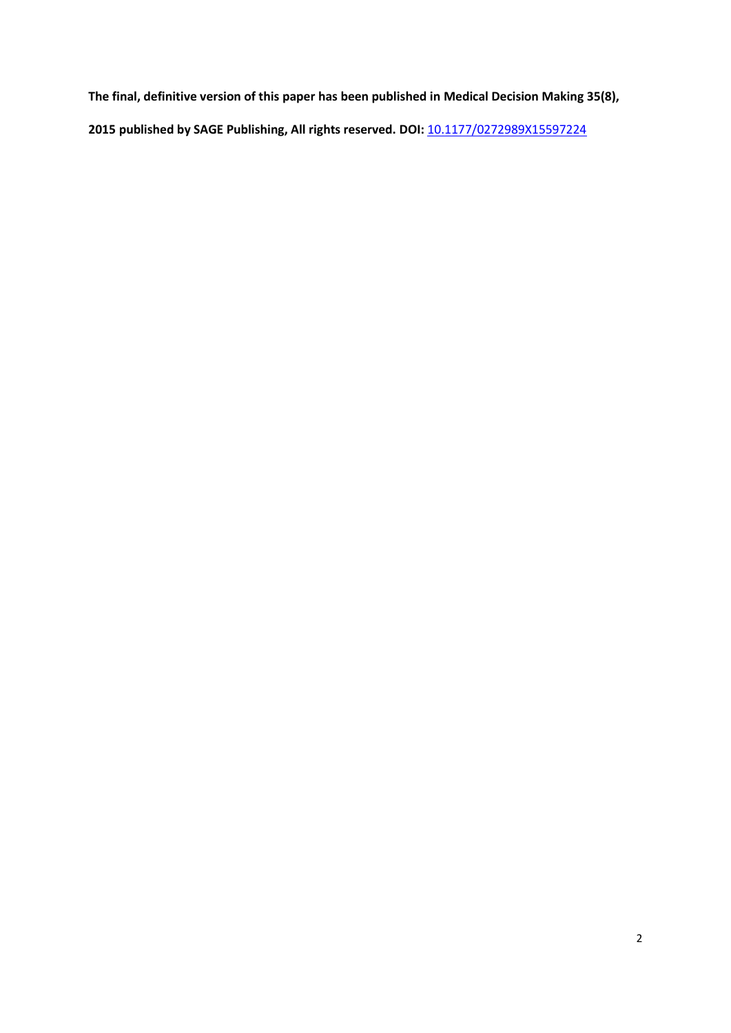**The final, definitive version of this paper has been published in Medical Decision Making 35(8), published by SAGE Publishing, All rights reserved. DOI:** [10.1177/0272989X15597224](http://dx.doi.org/10.1177%2F0272989X15597224)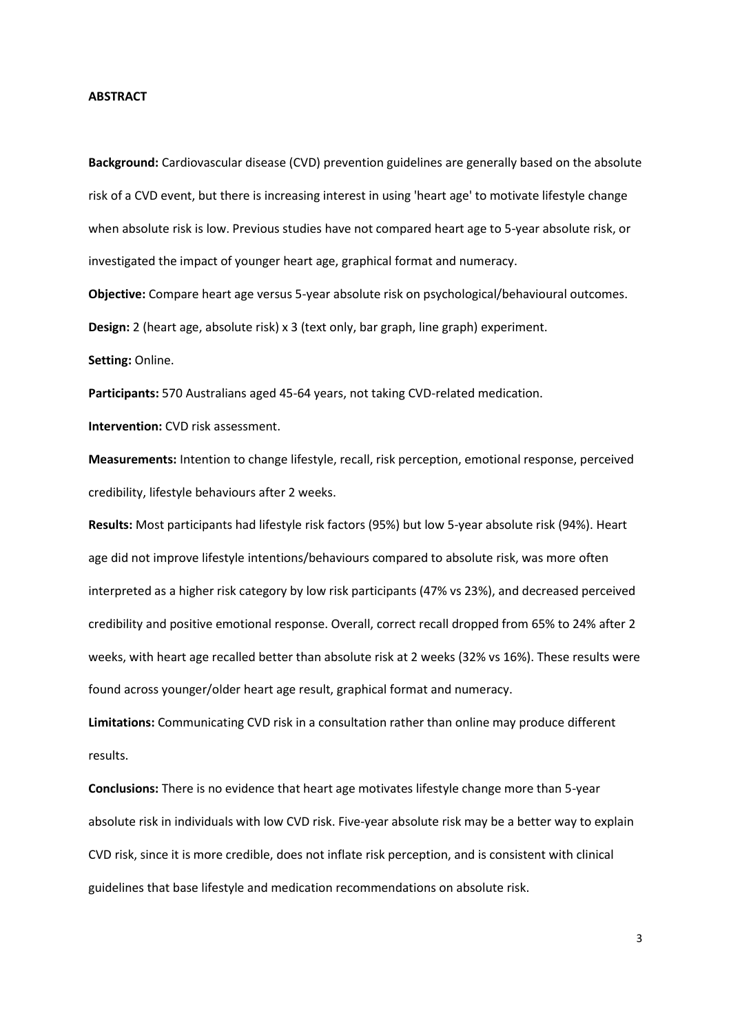#### **ABSTRACT**

**Background:** Cardiovascular disease (CVD) prevention guidelines are generally based on the absolute risk of a CVD event, but there is increasing interest in using 'heart age' to motivate lifestyle change when absolute risk is low. Previous studies have not compared heart age to 5-year absolute risk, or investigated the impact of younger heart age, graphical format and numeracy.

**Objective:** Compare heart age versus 5-year absolute risk on psychological/behavioural outcomes. **Design:** 2 (heart age, absolute risk) x 3 (text only, bar graph, line graph) experiment.

**Setting:** Online.

**Participants:** 570 Australians aged 45-64 years, not taking CVD-related medication.

**Intervention:** CVD risk assessment.

**Measurements:** Intention to change lifestyle, recall, risk perception, emotional response, perceived credibility, lifestyle behaviours after 2 weeks.

**Results:** Most participants had lifestyle risk factors (95%) but low 5-year absolute risk (94%). Heart age did not improve lifestyle intentions/behaviours compared to absolute risk, was more often interpreted as a higher risk category by low risk participants (47% vs 23%), and decreased perceived credibility and positive emotional response. Overall, correct recall dropped from 65% to 24% after 2 weeks, with heart age recalled better than absolute risk at 2 weeks (32% vs 16%). These results were found across younger/older heart age result, graphical format and numeracy.

**Limitations:** Communicating CVD risk in a consultation rather than online may produce different results.

**Conclusions:** There is no evidence that heart age motivates lifestyle change more than 5-year absolute risk in individuals with low CVD risk. Five-year absolute risk may be a better way to explain CVD risk, since it is more credible, does not inflate risk perception, and is consistent with clinical guidelines that base lifestyle and medication recommendations on absolute risk.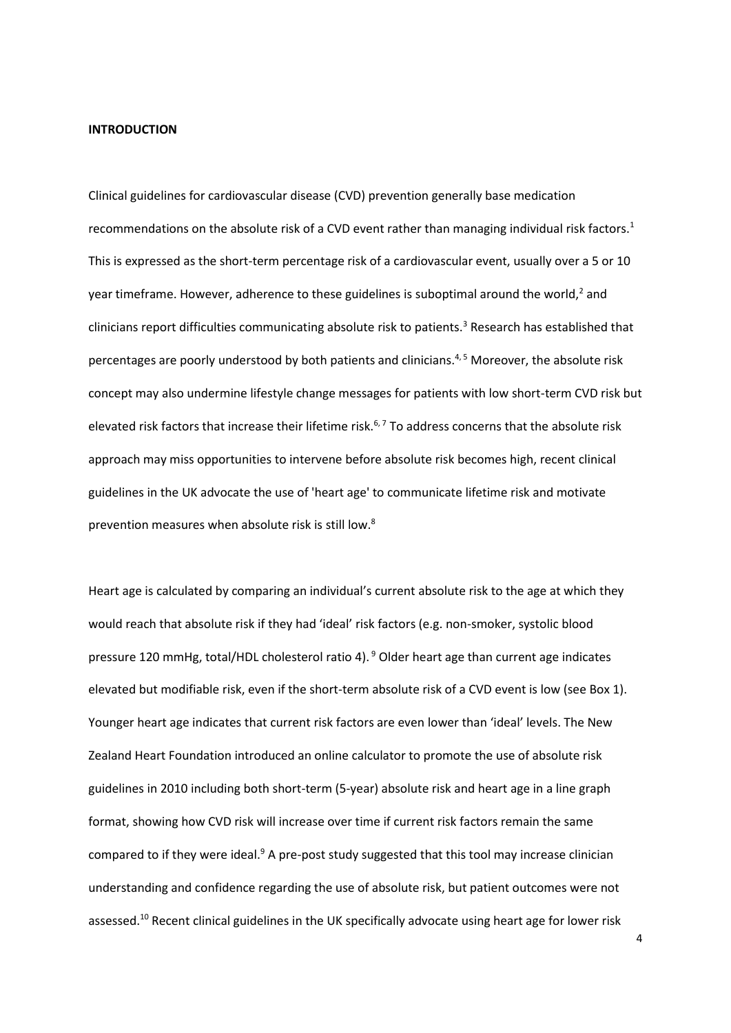#### **INTRODUCTION**

Clinical guidelines for cardiovascular disease (CVD) prevention generally base medication recommendations on the absolute risk of a CVD event rather than managing individual risk factors.<sup>1</sup> This is expressed as the short-term percentage risk of a cardiovascular event, usually over a 5 or 10 year timeframe. However, adherence to these guidelines is suboptimal around the world, $2$  and clinicians report difficulties communicating absolute risk to patients.<sup>3</sup> Research has established that percentages are poorly understood by both patients and clinicians.<sup>4, 5</sup> Moreover, the absolute risk concept may also undermine lifestyle change messages for patients with low short-term CVD risk but elevated risk factors that increase their lifetime risk.<sup>6,7</sup> To address concerns that the absolute risk approach may miss opportunities to intervene before absolute risk becomes high, recent clinical guidelines in the UK advocate the use of 'heart age' to communicate lifetime risk and motivate prevention measures when absolute risk is still low.<sup>8</sup>

Heart age is calculated by comparing an individual's current absolute risk to the age at which they would reach that absolute risk if they had 'ideal' risk factors (e.g. non-smoker, systolic blood pressure 120 mmHg, total/HDL cholesterol ratio 4).<sup>9</sup> Older heart age than current age indicates elevated but modifiable risk, even if the short-term absolute risk of a CVD event is low (see Box 1). Younger heart age indicates that current risk factors are even lower than 'ideal' levels. The New Zealand Heart Foundation introduced an online calculator to promote the use of absolute risk guidelines in 2010 including both short-term (5-year) absolute risk and heart age in a line graph format, showing how CVD risk will increase over time if current risk factors remain the same compared to if they were ideal. $9$  A pre-post study suggested that this tool may increase clinician understanding and confidence regarding the use of absolute risk, but patient outcomes were not assessed.<sup>10</sup> Recent clinical guidelines in the UK specifically advocate using heart age for lower risk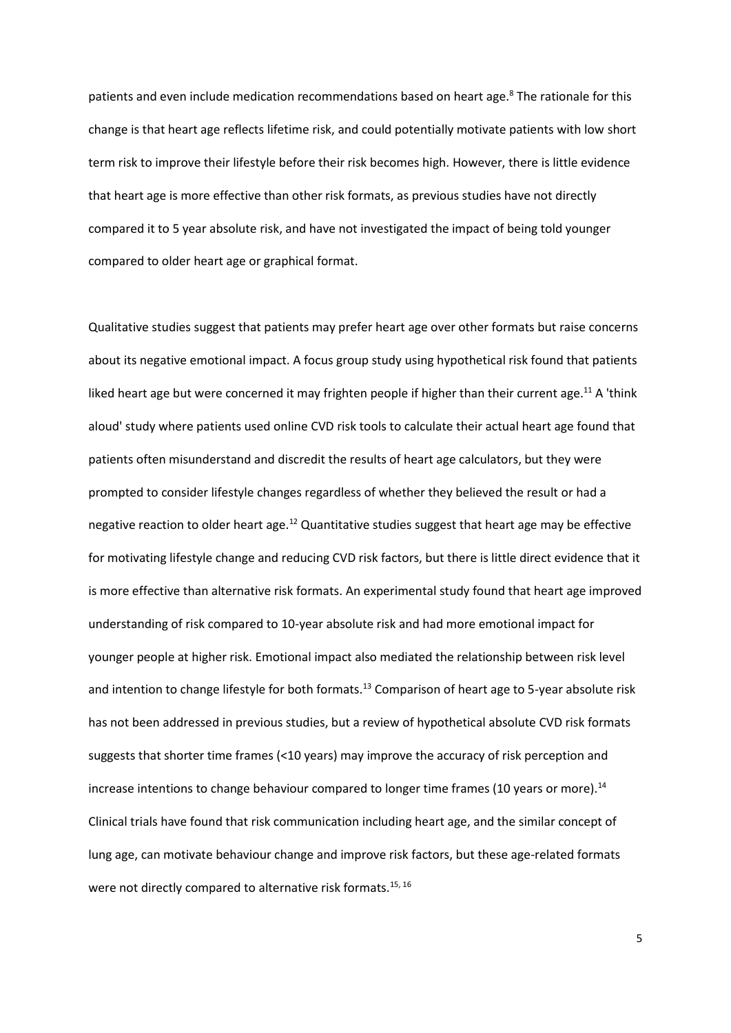patients and even include medication recommendations based on heart age.<sup>8</sup> The rationale for this change is that heart age reflects lifetime risk, and could potentially motivate patients with low short term risk to improve their lifestyle before their risk becomes high. However, there is little evidence that heart age is more effective than other risk formats, as previous studies have not directly compared it to 5 year absolute risk, and have not investigated the impact of being told younger compared to older heart age or graphical format.

Qualitative studies suggest that patients may prefer heart age over other formats but raise concerns about its negative emotional impact. A focus group study using hypothetical risk found that patients liked heart age but were concerned it may frighten people if higher than their current age.<sup>11</sup> A 'think aloud' study where patients used online CVD risk tools to calculate their actual heart age found that patients often misunderstand and discredit the results of heart age calculators, but they were prompted to consider lifestyle changes regardless of whether they believed the result or had a negative reaction to older heart age.<sup>12</sup> Quantitative studies suggest that heart age may be effective for motivating lifestyle change and reducing CVD risk factors, but there is little direct evidence that it is more effective than alternative risk formats. An experimental study found that heart age improved understanding of risk compared to 10-year absolute risk and had more emotional impact for younger people at higher risk. Emotional impact also mediated the relationship between risk level and intention to change lifestyle for both formats.<sup>13</sup> Comparison of heart age to 5-year absolute risk has not been addressed in previous studies, but a review of hypothetical absolute CVD risk formats suggests that shorter time frames (<10 years) may improve the accuracy of risk perception and increase intentions to change behaviour compared to longer time frames (10 years or more).<sup>14</sup> Clinical trials have found that risk communication including heart age, and the similar concept of lung age, can motivate behaviour change and improve risk factors, but these age-related formats were not directly compared to alternative risk formats.<sup>15, 16</sup>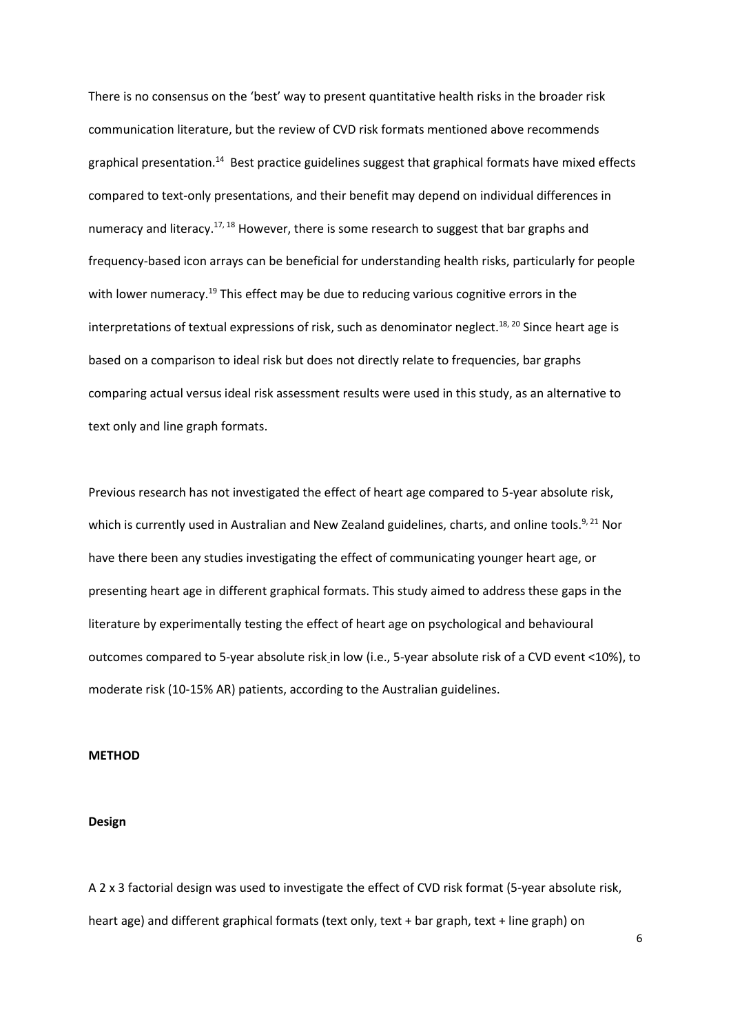There is no consensus on the 'best' way to present quantitative health risks in the broader risk communication literature, but the review of CVD risk formats mentioned above recommends graphical presentation.<sup>14</sup> Best practice guidelines suggest that graphical formats have mixed effects compared to text-only presentations, and their benefit may depend on individual differences in numeracy and literacy.<sup>17, 18</sup> However, there is some research to suggest that bar graphs and frequency-based icon arrays can be beneficial for understanding health risks, particularly for people with lower numeracy.<sup>19</sup> This effect may be due to reducing various cognitive errors in the interpretations of textual expressions of risk, such as denominator neglect.<sup>18, 20</sup> Since heart age is based on a comparison to ideal risk but does not directly relate to frequencies, bar graphs comparing actual versus ideal risk assessment results were used in this study, as an alternative to text only and line graph formats.

Previous research has not investigated the effect of heart age compared to 5-year absolute risk, which is currently used in Australian and New Zealand guidelines, charts, and online tools.<sup>9, 21</sup> Nor have there been any studies investigating the effect of communicating younger heart age, or presenting heart age in different graphical formats. This study aimed to address these gaps in the literature by experimentally testing the effect of heart age on psychological and behavioural outcomes compared to 5-year absolute risk in low (i.e., 5-year absolute risk of a CVD event <10%), to moderate risk (10-15% AR) patients, according to the Australian guidelines.

#### **METHOD**

#### **Design**

A 2 x 3 factorial design was used to investigate the effect of CVD risk format (5-year absolute risk, heart age) and different graphical formats (text only, text + bar graph, text + line graph) on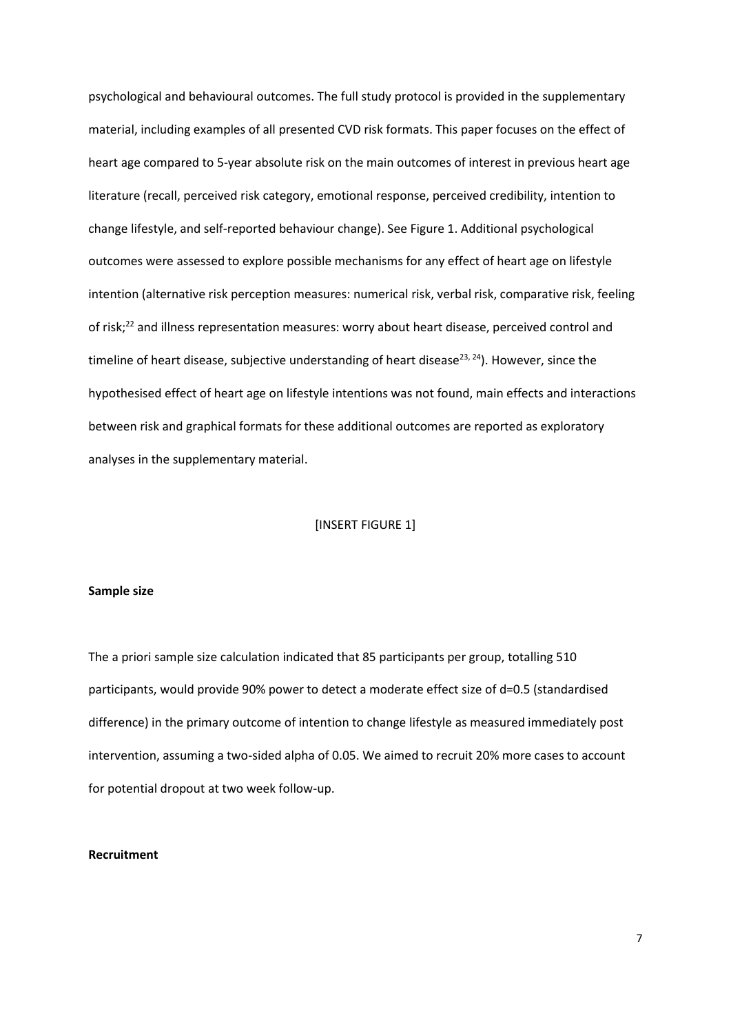psychological and behavioural outcomes. The full study protocol is provided in the supplementary material, including examples of all presented CVD risk formats. This paper focuses on the effect of heart age compared to 5-year absolute risk on the main outcomes of interest in previous heart age literature (recall, perceived risk category, emotional response, perceived credibility, intention to change lifestyle, and self-reported behaviour change). See Figure 1. Additional psychological outcomes were assessed to explore possible mechanisms for any effect of heart age on lifestyle intention (alternative risk perception measures: numerical risk, verbal risk, comparative risk, feeling of risk;<sup>22</sup> and illness representation measures: worry about heart disease, perceived control and timeline of heart disease, subjective understanding of heart disease<sup>23, 24</sup>). However, since the hypothesised effect of heart age on lifestyle intentions was not found, main effects and interactions between risk and graphical formats for these additional outcomes are reported as exploratory analyses in the supplementary material.

## [INSERT FIGURE 1]

#### **Sample size**

The a priori sample size calculation indicated that 85 participants per group, totalling 510 participants, would provide 90% power to detect a moderate effect size of d=0.5 (standardised difference) in the primary outcome of intention to change lifestyle as measured immediately post intervention, assuming a two-sided alpha of 0.05. We aimed to recruit 20% more cases to account for potential dropout at two week follow-up.

## **Recruitment**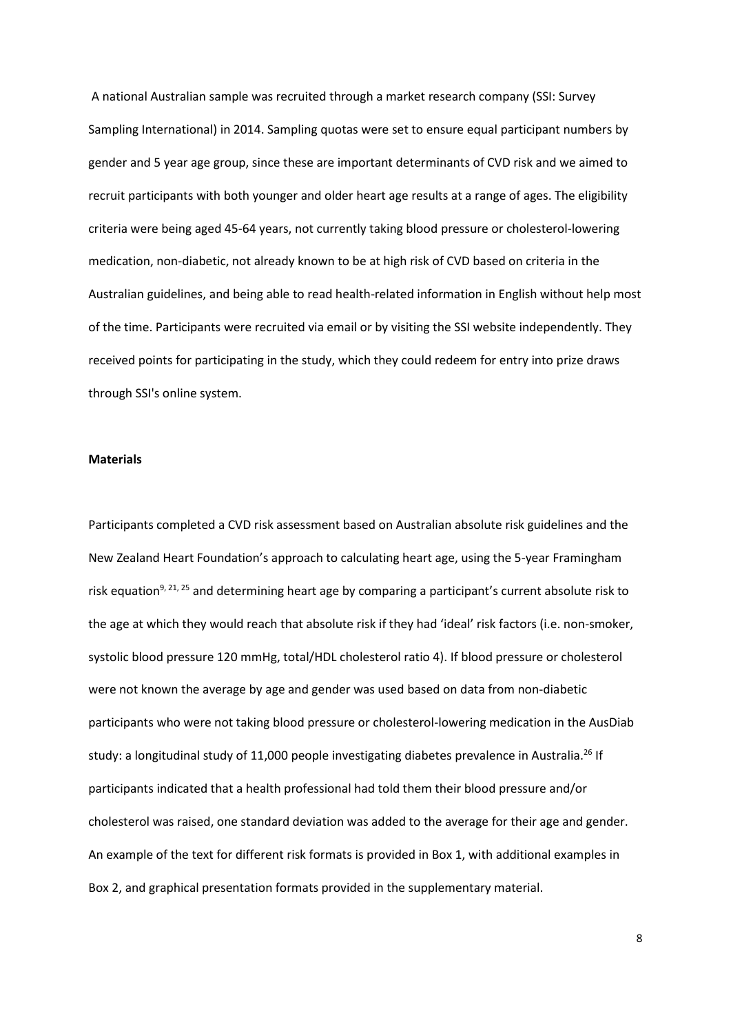A national Australian sample was recruited through a market research company (SSI: Survey Sampling International) in 2014. Sampling quotas were set to ensure equal participant numbers by gender and 5 year age group, since these are important determinants of CVD risk and we aimed to recruit participants with both younger and older heart age results at a range of ages. The eligibility criteria were being aged 45-64 years, not currently taking blood pressure or cholesterol-lowering medication, non-diabetic, not already known to be at high risk of CVD based on criteria in the Australian guidelines, and being able to read health-related information in English without help most of the time. Participants were recruited via email or by visiting the SSI website independently. They received points for participating in the study, which they could redeem for entry into prize draws through SSI's online system.

#### **Materials**

Participants completed a CVD risk assessment based on Australian absolute risk guidelines and the New Zealand Heart Foundation's approach to calculating heart age, using the 5-year Framingham risk equation<sup>9, 21, 25</sup> and determining heart age by comparing a participant's current absolute risk to the age at which they would reach that absolute risk if they had 'ideal' risk factors (i.e. non-smoker, systolic blood pressure 120 mmHg, total/HDL cholesterol ratio 4). If blood pressure or cholesterol were not known the average by age and gender was used based on data from non-diabetic participants who were not taking blood pressure or cholesterol-lowering medication in the AusDiab study: a longitudinal study of 11,000 people investigating diabetes prevalence in Australia.<sup>26</sup> If participants indicated that a health professional had told them their blood pressure and/or cholesterol was raised, one standard deviation was added to the average for their age and gender. An example of the text for different risk formats is provided in Box 1, with additional examples in Box 2, and graphical presentation formats provided in the supplementary material.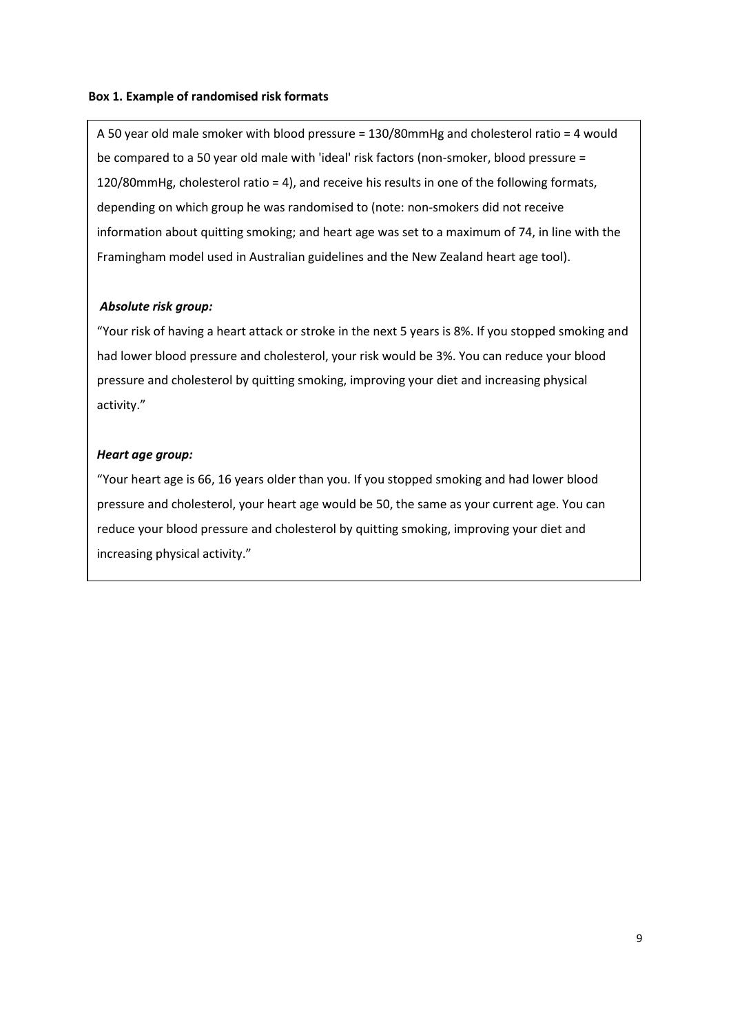## **Box 1. Example of randomised risk formats**

A 50 year old male smoker with blood pressure = 130/80mmHg and cholesterol ratio = 4 would be compared to a 50 year old male with 'ideal' risk factors (non-smoker, blood pressure = 120/80mmHg, cholesterol ratio = 4), and receive his results in one of the following formats, depending on which group he was randomised to (note: non-smokers did not receive information about quitting smoking; and heart age was set to a maximum of 74, in line with the Framingham model used in Australian guidelines and the New Zealand heart age tool).

## *Absolute risk group:*

"Your risk of having a heart attack or stroke in the next 5 years is 8%. If you stopped smoking and had lower blood pressure and cholesterol, your risk would be 3%. You can reduce your blood pressure and cholesterol by quitting smoking, improving your diet and increasing physical activity."

## *Heart age group:*

"Your heart age is 66, 16 years older than you. If you stopped smoking and had lower blood pressure and cholesterol, your heart age would be 50, the same as your current age. You can reduce your blood pressure and cholesterol by quitting smoking, improving your diet and increasing physical activity."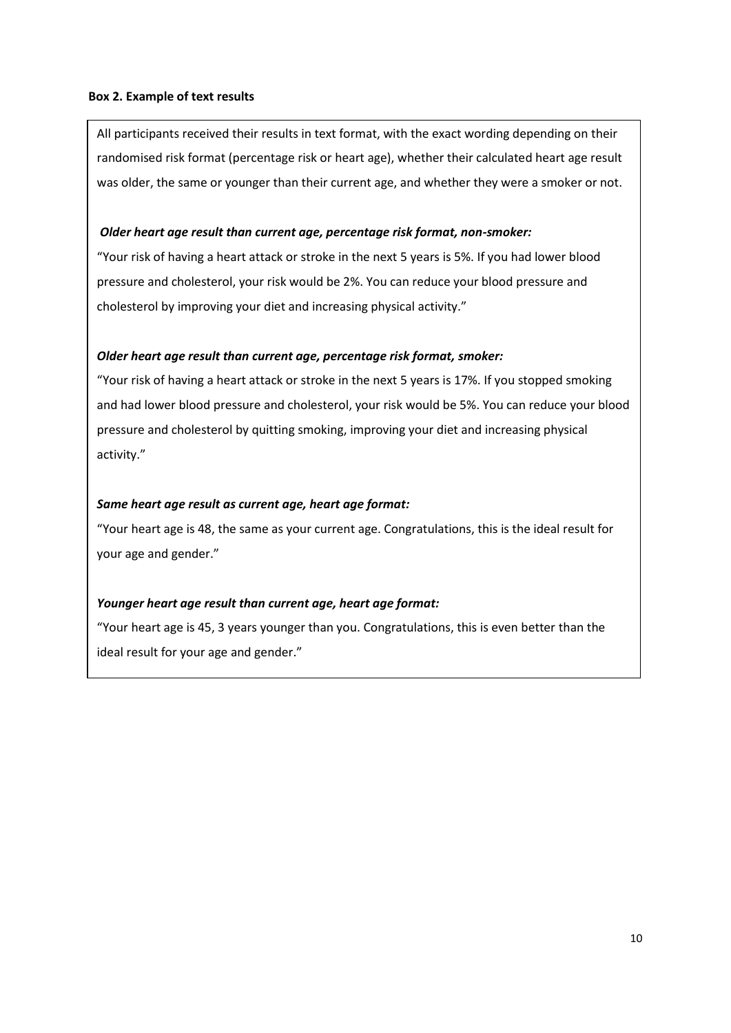## **Box 2. Example of text results**

All participants received their results in text format, with the exact wording depending on their randomised risk format (percentage risk or heart age), whether their calculated heart age result was older, the same or younger than their current age, and whether they were a smoker or not.

# *Older heart age result than current age, percentage risk format, non-smoker:*

"Your risk of having a heart attack or stroke in the next 5 years is 5%. If you had lower blood pressure and cholesterol, your risk would be 2%. You can reduce your blood pressure and cholesterol by improving your diet and increasing physical activity."

# *Older heart age result than current age, percentage risk format, smoker:*

"Your risk of having a heart attack or stroke in the next 5 years is 17%. If you stopped smoking and had lower blood pressure and cholesterol, your risk would be 5%. You can reduce your blood pressure and cholesterol by quitting smoking, improving your diet and increasing physical activity."

# *Same heart age result as current age, heart age format:*

"Your heart age is 48, the same as your current age. Congratulations, this is the ideal result for your age and gender."

# *Younger heart age result than current age, heart age format:*

"Your heart age is 45, 3 years younger than you. Congratulations, this is even better than the ideal result for your age and gender."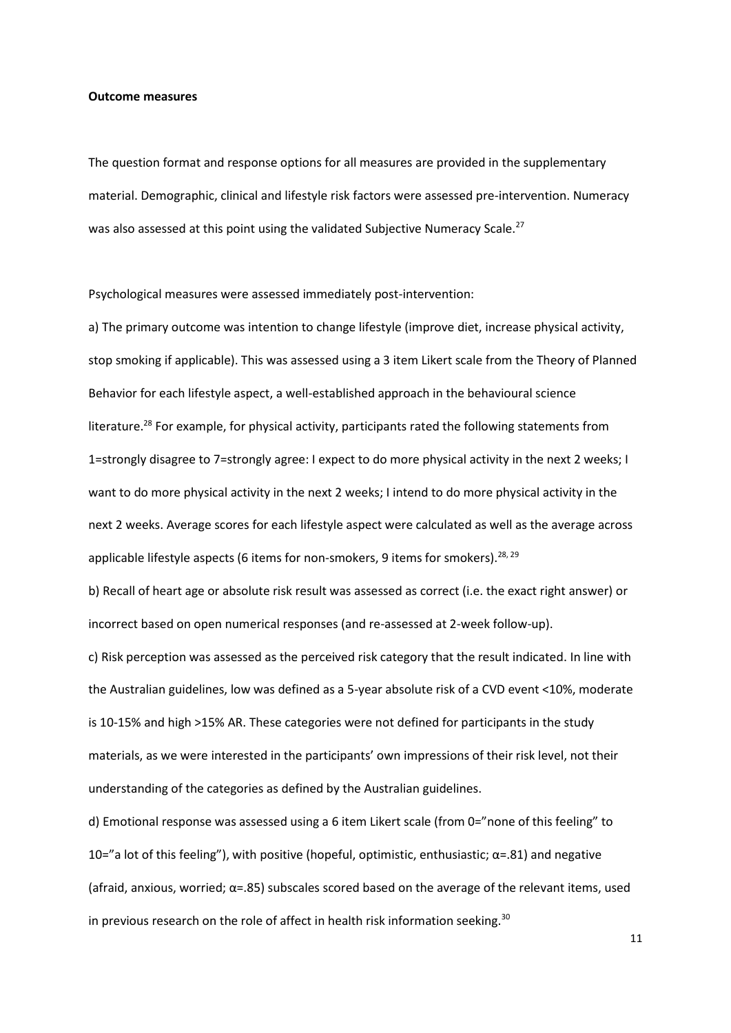#### **Outcome measures**

The question format and response options for all measures are provided in the supplementary material. Demographic, clinical and lifestyle risk factors were assessed pre-intervention. Numeracy was also assessed at this point using the validated Subjective Numeracy Scale.<sup>27</sup>

Psychological measures were assessed immediately post-intervention:

a) The primary outcome was intention to change lifestyle (improve diet, increase physical activity, stop smoking if applicable). This was assessed using a 3 item Likert scale from the Theory of Planned Behavior for each lifestyle aspect, a well-established approach in the behavioural science literature.<sup>28</sup> For example, for physical activity, participants rated the following statements from 1=strongly disagree to 7=strongly agree: I expect to do more physical activity in the next 2 weeks; I want to do more physical activity in the next 2 weeks; I intend to do more physical activity in the next 2 weeks. Average scores for each lifestyle aspect were calculated as well as the average across applicable lifestyle aspects (6 items for non-smokers, 9 items for smokers).<sup>28, 29</sup>

b) Recall of heart age or absolute risk result was assessed as correct (i.e. the exact right answer) or incorrect based on open numerical responses (and re-assessed at 2-week follow-up).

c) Risk perception was assessed as the perceived risk category that the result indicated. In line with the Australian guidelines, low was defined as a 5-year absolute risk of a CVD event <10%, moderate is 10-15% and high >15% AR. These categories were not defined for participants in the study materials, as we were interested in the participants' own impressions of their risk level, not their understanding of the categories as defined by the Australian guidelines.

d) Emotional response was assessed using a 6 item Likert scale (from 0="none of this feeling" to 10="a lot of this feeling"), with positive (hopeful, optimistic, enthusiastic;  $\alpha$ =.81) and negative (afraid, anxious, worried;  $\alpha$ =.85) subscales scored based on the average of the relevant items, used in previous research on the role of affect in health risk information seeking.<sup>30</sup>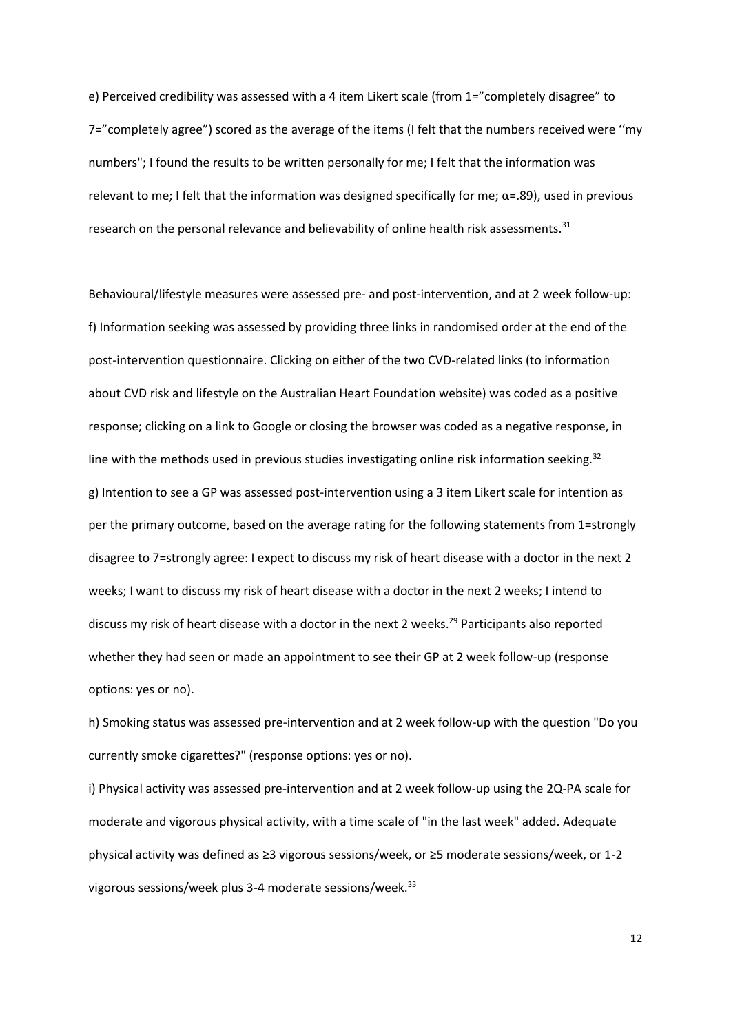e) Perceived credibility was assessed with a 4 item Likert scale (from 1="completely disagree" to 7="completely agree") scored as the average of the items (I felt that the numbers received were ''my numbers"; I found the results to be written personally for me; I felt that the information was relevant to me; I felt that the information was designed specifically for me;  $\alpha$ =.89), used in previous research on the personal relevance and believability of online health risk assessments.<sup>31</sup>

Behavioural/lifestyle measures were assessed pre- and post-intervention, and at 2 week follow-up: f) Information seeking was assessed by providing three links in randomised order at the end of the post-intervention questionnaire. Clicking on either of the two CVD-related links (to information about CVD risk and lifestyle on the Australian Heart Foundation website) was coded as a positive response; clicking on a link to Google or closing the browser was coded as a negative response, in line with the methods used in previous studies investigating online risk information seeking. $32$ g) Intention to see a GP was assessed post-intervention using a 3 item Likert scale for intention as per the primary outcome, based on the average rating for the following statements from 1=strongly disagree to 7=strongly agree: I expect to discuss my risk of heart disease with a doctor in the next 2 weeks; I want to discuss my risk of heart disease with a doctor in the next 2 weeks; I intend to discuss my risk of heart disease with a doctor in the next 2 weeks.<sup>29</sup> Participants also reported whether they had seen or made an appointment to see their GP at 2 week follow-up (response options: yes or no).

h) Smoking status was assessed pre-intervention and at 2 week follow-up with the question "Do you currently smoke cigarettes?" (response options: yes or no).

i) Physical activity was assessed pre-intervention and at 2 week follow-up using the 2Q-PA scale for moderate and vigorous physical activity, with a time scale of "in the last week" added. Adequate physical activity was defined as ≥3 vigorous sessions/week, or ≥5 moderate sessions/week, or 1-2 vigorous sessions/week plus 3-4 moderate sessions/week.<sup>33</sup>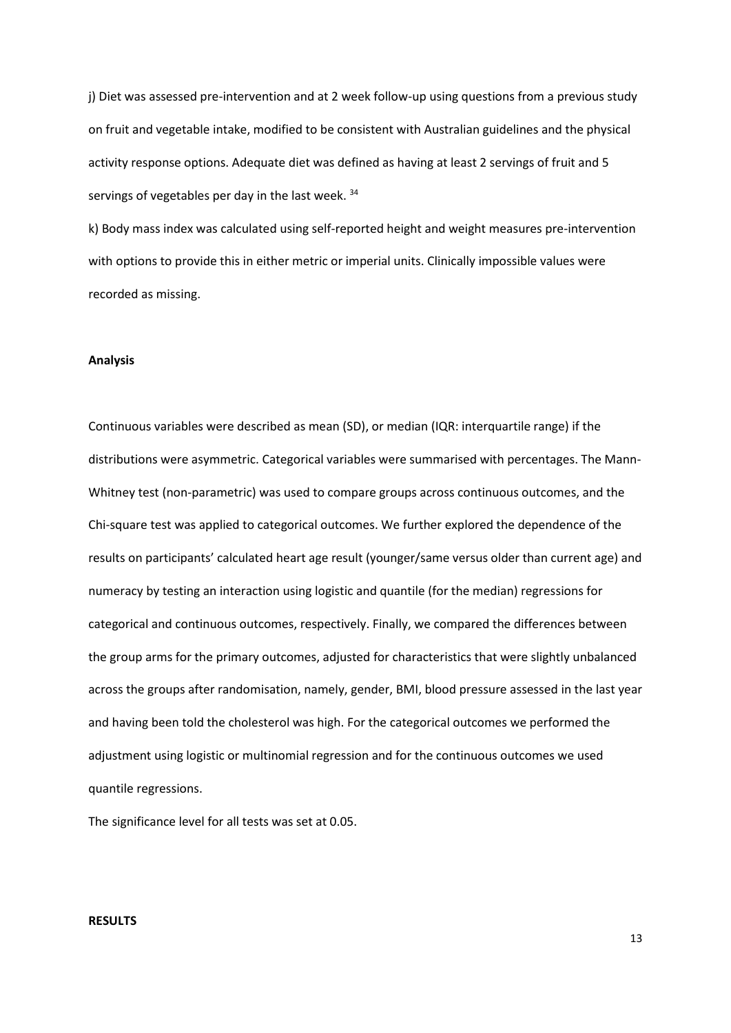j) Diet was assessed pre-intervention and at 2 week follow-up using questions from a previous study on fruit and vegetable intake, modified to be consistent with Australian guidelines and the physical activity response options. Adequate diet was defined as having at least 2 servings of fruit and 5 servings of vegetables per day in the last week. 34

k) Body mass index was calculated using self-reported height and weight measures pre-intervention with options to provide this in either metric or imperial units. Clinically impossible values were recorded as missing.

### **Analysis**

Continuous variables were described as mean (SD), or median (IQR: interquartile range) if the distributions were asymmetric. Categorical variables were summarised with percentages. The Mann-Whitney test (non-parametric) was used to compare groups across continuous outcomes, and the Chi-square test was applied to categorical outcomes. We further explored the dependence of the results on participants' calculated heart age result (younger/same versus older than current age) and numeracy by testing an interaction using logistic and quantile (for the median) regressions for categorical and continuous outcomes, respectively. Finally, we compared the differences between the group arms for the primary outcomes, adjusted for characteristics that were slightly unbalanced across the groups after randomisation, namely, gender, BMI, blood pressure assessed in the last year and having been told the cholesterol was high. For the categorical outcomes we performed the adjustment using logistic or multinomial regression and for the continuous outcomes we used quantile regressions.

The significance level for all tests was set at 0.05.

## **RESULTS**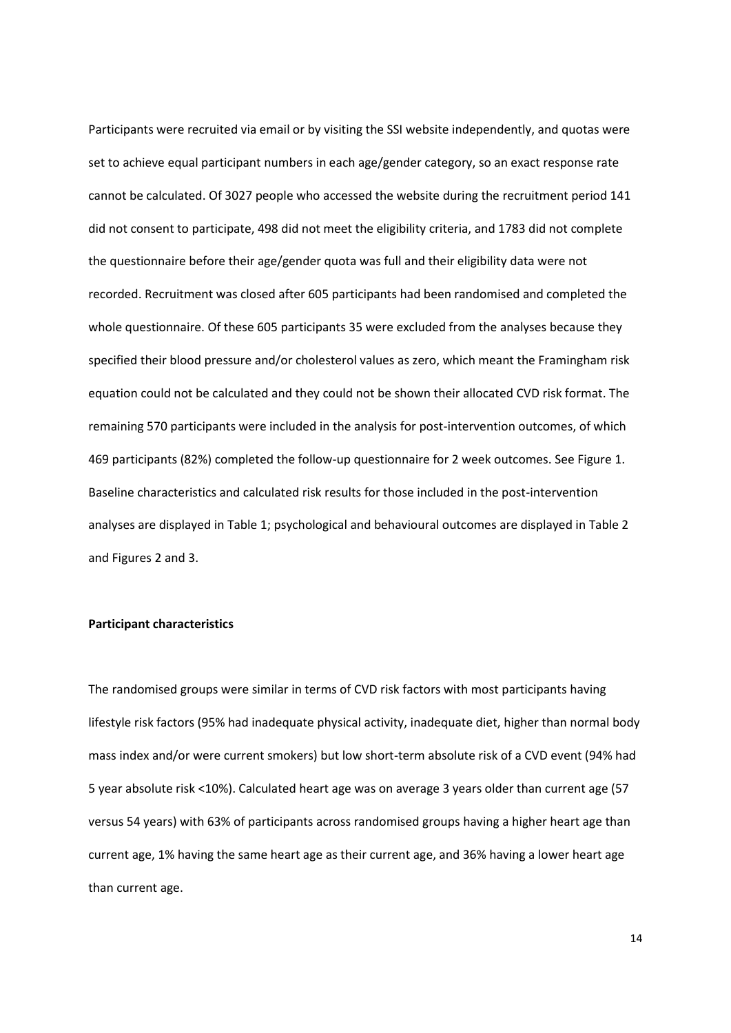Participants were recruited via email or by visiting the SSI website independently, and quotas were set to achieve equal participant numbers in each age/gender category, so an exact response rate cannot be calculated. Of 3027 people who accessed the website during the recruitment period 141 did not consent to participate, 498 did not meet the eligibility criteria, and 1783 did not complete the questionnaire before their age/gender quota was full and their eligibility data were not recorded. Recruitment was closed after 605 participants had been randomised and completed the whole questionnaire. Of these 605 participants 35 were excluded from the analyses because they specified their blood pressure and/or cholesterol values as zero, which meant the Framingham risk equation could not be calculated and they could not be shown their allocated CVD risk format. The remaining 570 participants were included in the analysis for post-intervention outcomes, of which 469 participants (82%) completed the follow-up questionnaire for 2 week outcomes. See Figure 1. Baseline characteristics and calculated risk results for those included in the post-intervention analyses are displayed in Table 1; psychological and behavioural outcomes are displayed in Table 2 and Figures 2 and 3.

#### **Participant characteristics**

The randomised groups were similar in terms of CVD risk factors with most participants having lifestyle risk factors (95% had inadequate physical activity, inadequate diet, higher than normal body mass index and/or were current smokers) but low short-term absolute risk of a CVD event (94% had 5 year absolute risk <10%). Calculated heart age was on average 3 years older than current age (57 versus 54 years) with 63% of participants across randomised groups having a higher heart age than current age, 1% having the same heart age as their current age, and 36% having a lower heart age than current age.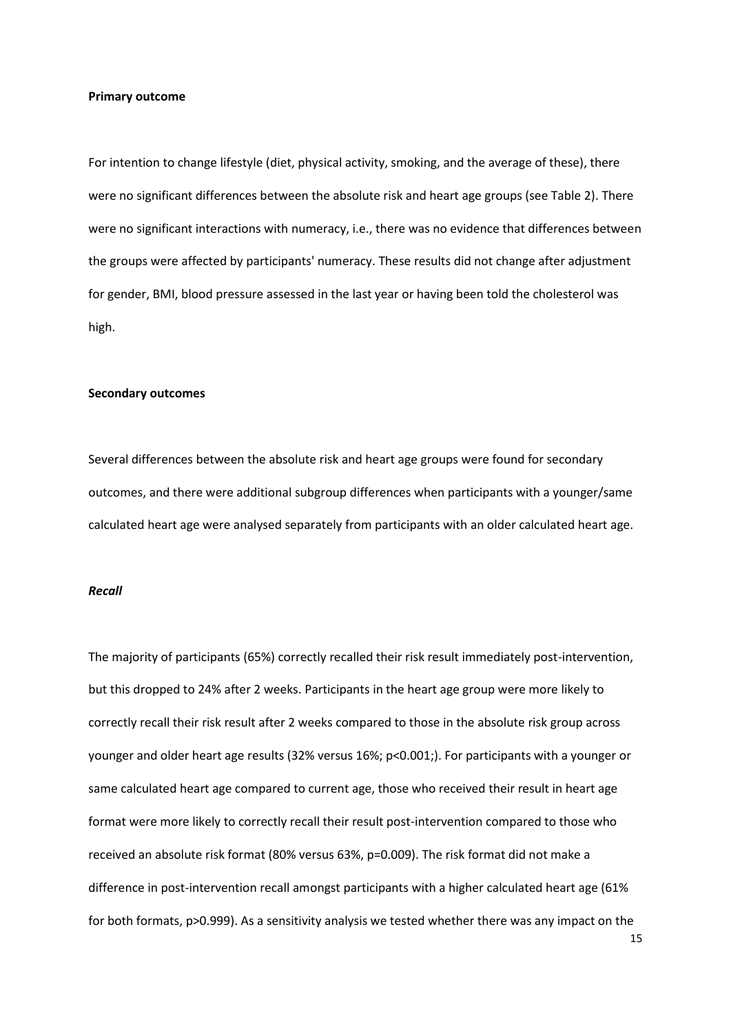#### **Primary outcome**

For intention to change lifestyle (diet, physical activity, smoking, and the average of these), there were no significant differences between the absolute risk and heart age groups (see Table 2). There were no significant interactions with numeracy, i.e., there was no evidence that differences between the groups were affected by participants' numeracy. These results did not change after adjustment for gender, BMI, blood pressure assessed in the last year or having been told the cholesterol was high.

#### **Secondary outcomes**

Several differences between the absolute risk and heart age groups were found for secondary outcomes, and there were additional subgroup differences when participants with a younger/same calculated heart age were analysed separately from participants with an older calculated heart age.

## *Recall*

The majority of participants (65%) correctly recalled their risk result immediately post-intervention, but this dropped to 24% after 2 weeks. Participants in the heart age group were more likely to correctly recall their risk result after 2 weeks compared to those in the absolute risk group across younger and older heart age results (32% versus 16%; p<0.001;). For participants with a younger or same calculated heart age compared to current age, those who received their result in heart age format were more likely to correctly recall their result post-intervention compared to those who received an absolute risk format (80% versus 63%, p=0.009). The risk format did not make a difference in post-intervention recall amongst participants with a higher calculated heart age (61% for both formats, p>0.999). As a sensitivity analysis we tested whether there was any impact on the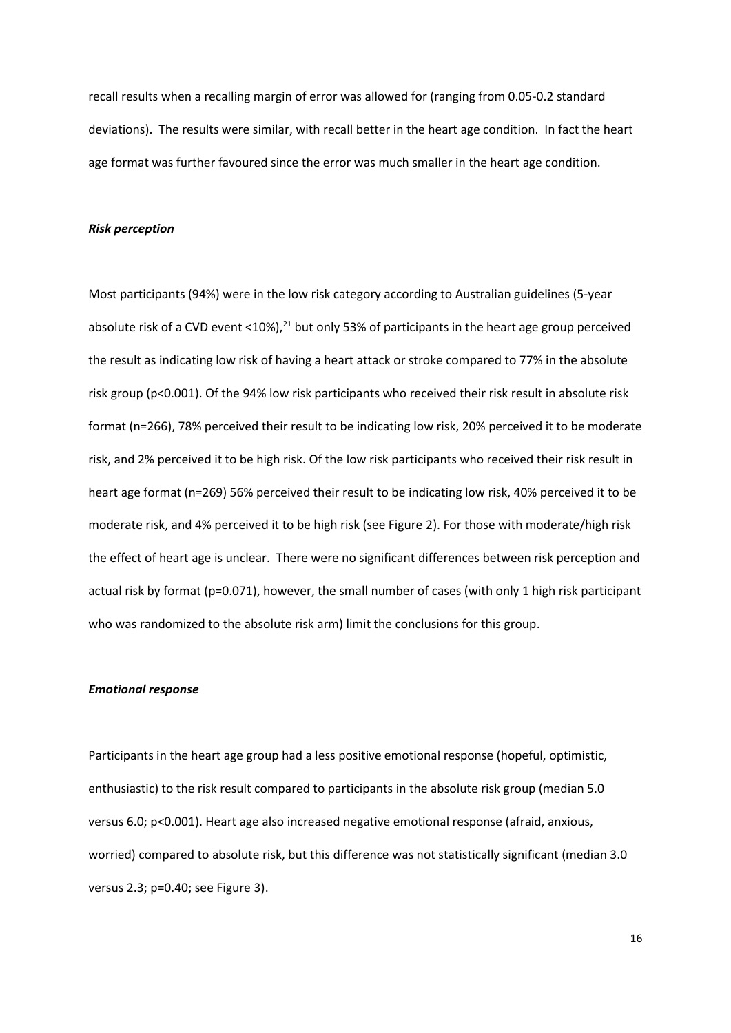recall results when a recalling margin of error was allowed for (ranging from 0.05-0.2 standard deviations). The results were similar, with recall better in the heart age condition. In fact the heart age format was further favoured since the error was much smaller in the heart age condition.

### *Risk perception*

Most participants (94%) were in the low risk category according to Australian guidelines (5-year absolute risk of a CVD event <10%), $^{21}$  but only 53% of participants in the heart age group perceived the result as indicating low risk of having a heart attack or stroke compared to 77% in the absolute risk group (p<0.001). Of the 94% low risk participants who received their risk result in absolute risk format (n=266), 78% perceived their result to be indicating low risk, 20% perceived it to be moderate risk, and 2% perceived it to be high risk. Of the low risk participants who received their risk result in heart age format (n=269) 56% perceived their result to be indicating low risk, 40% perceived it to be moderate risk, and 4% perceived it to be high risk (see Figure 2). For those with moderate/high risk the effect of heart age is unclear. There were no significant differences between risk perception and actual risk by format (p=0.071), however, the small number of cases (with only 1 high risk participant who was randomized to the absolute risk arm) limit the conclusions for this group.

#### *Emotional response*

Participants in the heart age group had a less positive emotional response (hopeful, optimistic, enthusiastic) to the risk result compared to participants in the absolute risk group (median 5.0 versus 6.0; p<0.001). Heart age also increased negative emotional response (afraid, anxious, worried) compared to absolute risk, but this difference was not statistically significant (median 3.0 versus 2.3; p=0.40; see Figure 3).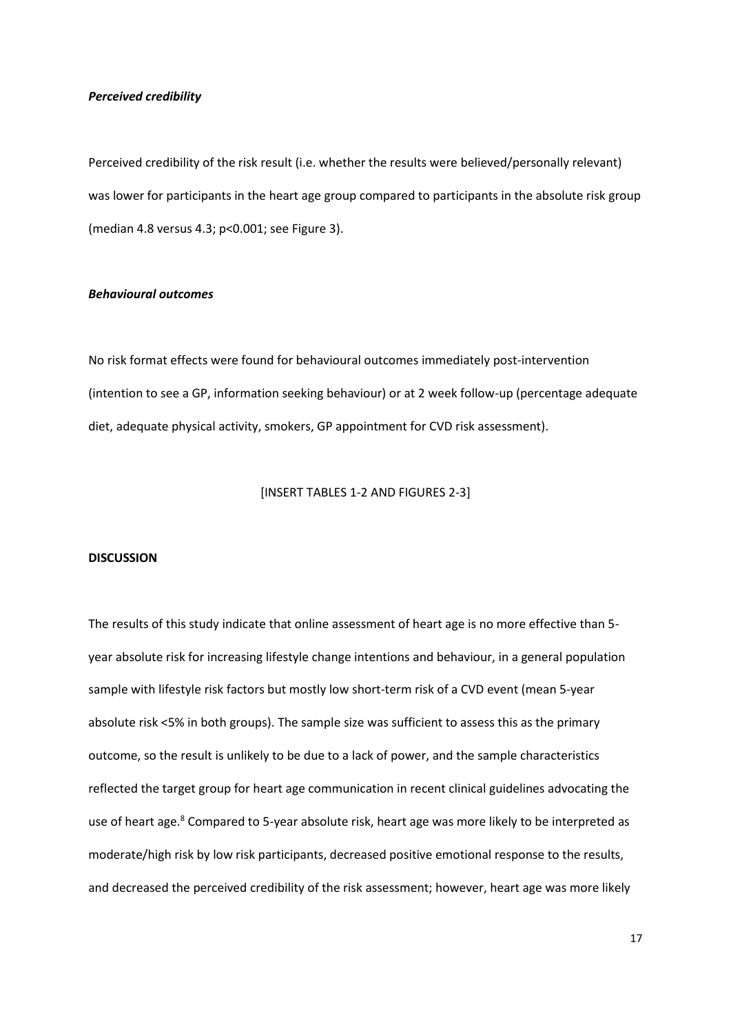#### *Perceived credibility*

Perceived credibility of the risk result (i.e. whether the results were believed/personally relevant) was lower for participants in the heart age group compared to participants in the absolute risk group (median 4.8 versus 4.3; p<0.001; see Figure 3).

### *Behavioural outcomes*

No risk format effects were found for behavioural outcomes immediately post-intervention (intention to see a GP, information seeking behaviour) or at 2 week follow-up (percentage adequate diet, adequate physical activity, smokers, GP appointment for CVD risk assessment).

[INSERT TABLES 1-2 AND FIGURES 2-3]

#### **DISCUSSION**

The results of this study indicate that online assessment of heart age is no more effective than 5 year absolute risk for increasing lifestyle change intentions and behaviour, in a general population sample with lifestyle risk factors but mostly low short-term risk of a CVD event (mean 5-year absolute risk <5% in both groups). The sample size was sufficient to assess this as the primary outcome, so the result is unlikely to be due to a lack of power, and the sample characteristics reflected the target group for heart age communication in recent clinical guidelines advocating the use of heart age.<sup>8</sup> Compared to 5-year absolute risk, heart age was more likely to be interpreted as moderate/high risk by low risk participants, decreased positive emotional response to the results, and decreased the perceived credibility of the risk assessment; however, heart age was more likely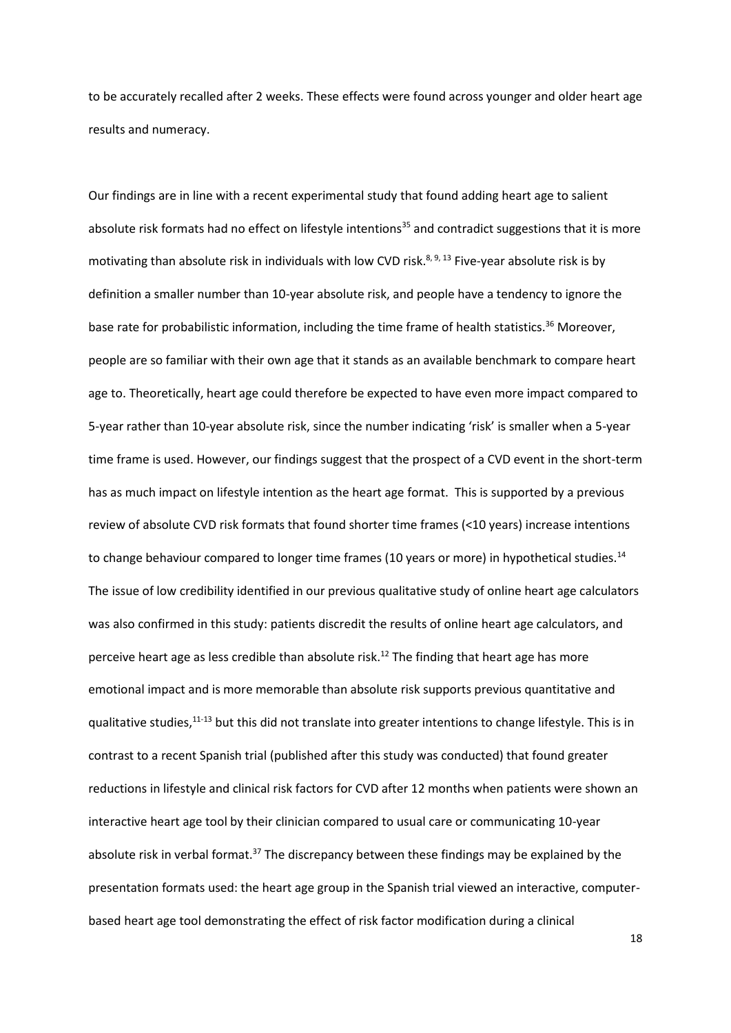to be accurately recalled after 2 weeks. These effects were found across younger and older heart age results and numeracy.

Our findings are in line with a recent experimental study that found adding heart age to salient absolute risk formats had no effect on lifestyle intentions<sup>35</sup> and contradict suggestions that it is more motivating than absolute risk in individuals with low CVD risk.<sup>8, 9, 13</sup> Five-year absolute risk is by definition a smaller number than 10-year absolute risk, and people have a tendency to ignore the base rate for probabilistic information, including the time frame of health statistics.<sup>36</sup> Moreover, people are so familiar with their own age that it stands as an available benchmark to compare heart age to. Theoretically, heart age could therefore be expected to have even more impact compared to 5-year rather than 10-year absolute risk, since the number indicating 'risk' is smaller when a 5-year time frame is used. However, our findings suggest that the prospect of a CVD event in the short-term has as much impact on lifestyle intention as the heart age format. This is supported by a previous review of absolute CVD risk formats that found shorter time frames (<10 years) increase intentions to change behaviour compared to longer time frames (10 years or more) in hypothetical studies.<sup>14</sup> The issue of low credibility identified in our previous qualitative study of online heart age calculators was also confirmed in this study: patients discredit the results of online heart age calculators, and perceive heart age as less credible than absolute risk.<sup>12</sup> The finding that heart age has more emotional impact and is more memorable than absolute risk supports previous quantitative and qualitative studies,11-13 but this did not translate into greater intentions to change lifestyle. This is in contrast to a recent Spanish trial (published after this study was conducted) that found greater reductions in lifestyle and clinical risk factors for CVD after 12 months when patients were shown an interactive heart age tool by their clinician compared to usual care or communicating 10-year absolute risk in verbal format.<sup>37</sup> The discrepancy between these findings may be explained by the presentation formats used: the heart age group in the Spanish trial viewed an interactive, computerbased heart age tool demonstrating the effect of risk factor modification during a clinical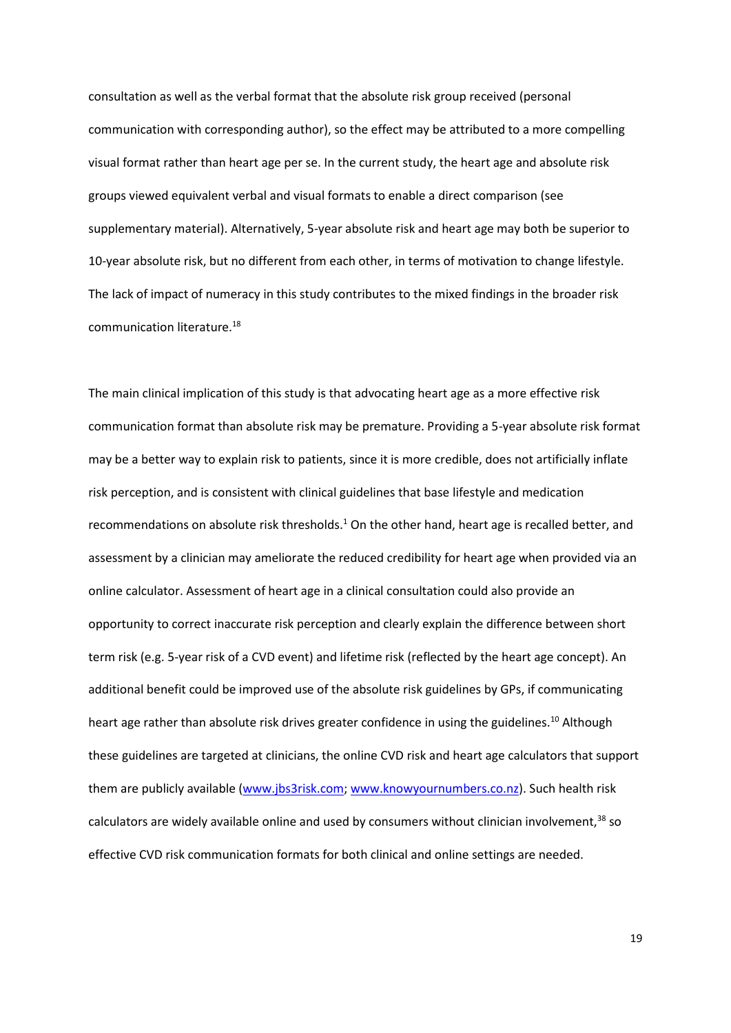consultation as well as the verbal format that the absolute risk group received (personal communication with corresponding author), so the effect may be attributed to a more compelling visual format rather than heart age per se. In the current study, the heart age and absolute risk groups viewed equivalent verbal and visual formats to enable a direct comparison (see supplementary material). Alternatively, 5-year absolute risk and heart age may both be superior to 10-year absolute risk, but no different from each other, in terms of motivation to change lifestyle. The lack of impact of numeracy in this study contributes to the mixed findings in the broader risk communication literature.<sup>18</sup>

The main clinical implication of this study is that advocating heart age as a more effective risk communication format than absolute risk may be premature. Providing a 5-year absolute risk format may be a better way to explain risk to patients, since it is more credible, does not artificially inflate risk perception, and is consistent with clinical guidelines that base lifestyle and medication recommendations on absolute risk thresholds. $1$  On the other hand, heart age is recalled better, and assessment by a clinician may ameliorate the reduced credibility for heart age when provided via an online calculator. Assessment of heart age in a clinical consultation could also provide an opportunity to correct inaccurate risk perception and clearly explain the difference between short term risk (e.g. 5-year risk of a CVD event) and lifetime risk (reflected by the heart age concept). An additional benefit could be improved use of the absolute risk guidelines by GPs, if communicating heart age rather than absolute risk drives greater confidence in using the guidelines.<sup>10</sup> Although these guidelines are targeted at clinicians, the online CVD risk and heart age calculators that support them are publicly available [\(www.jbs3risk.com;](http://www.jbs3risk.com/) [www.knowyournumbers.co.nz\)](http://www.knowyournumbers.co.nz/). Such health risk calculators are widely available online and used by consumers without clinician involvement, $38$  so effective CVD risk communication formats for both clinical and online settings are needed.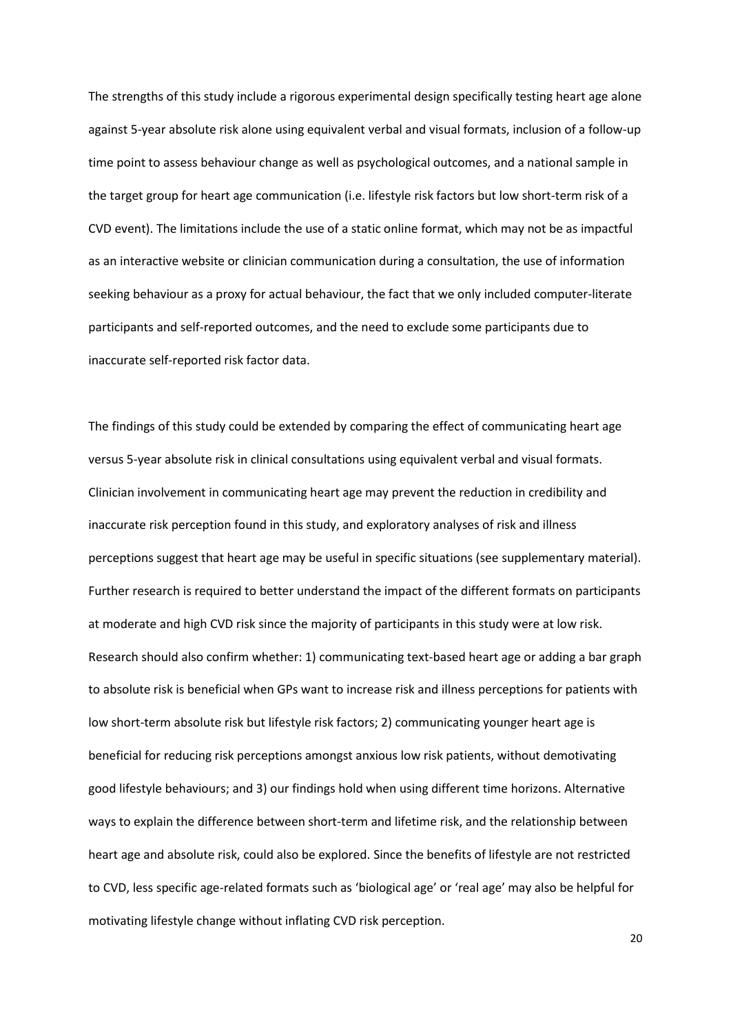The strengths of this study include a rigorous experimental design specifically testing heart age alone against 5-year absolute risk alone using equivalent verbal and visual formats, inclusion of a follow-up time point to assess behaviour change as well as psychological outcomes, and a national sample in the target group for heart age communication (i.e. lifestyle risk factors but low short-term risk of a CVD event). The limitations include the use of a static online format, which may not be as impactful as an interactive website or clinician communication during a consultation, the use of information seeking behaviour as a proxy for actual behaviour, the fact that we only included computer-literate participants and self-reported outcomes, and the need to exclude some participants due to inaccurate self-reported risk factor data.

The findings of this study could be extended by comparing the effect of communicating heart age versus 5-year absolute risk in clinical consultations using equivalent verbal and visual formats. Clinician involvement in communicating heart age may prevent the reduction in credibility and inaccurate risk perception found in this study, and exploratory analyses of risk and illness perceptions suggest that heart age may be useful in specific situations (see supplementary material). Further research is required to better understand the impact of the different formats on participants at moderate and high CVD risk since the majority of participants in this study were at low risk. Research should also confirm whether: 1) communicating text-based heart age or adding a bar graph to absolute risk is beneficial when GPs want to increase risk and illness perceptions for patients with low short-term absolute risk but lifestyle risk factors; 2) communicating younger heart age is beneficial for reducing risk perceptions amongst anxious low risk patients, without demotivating good lifestyle behaviours; and 3) our findings hold when using different time horizons. Alternative ways to explain the difference between short-term and lifetime risk, and the relationship between heart age and absolute risk, could also be explored. Since the benefits of lifestyle are not restricted to CVD, less specific age-related formats such as 'biological age' or 'real age' may also be helpful for motivating lifestyle change without inflating CVD risk perception.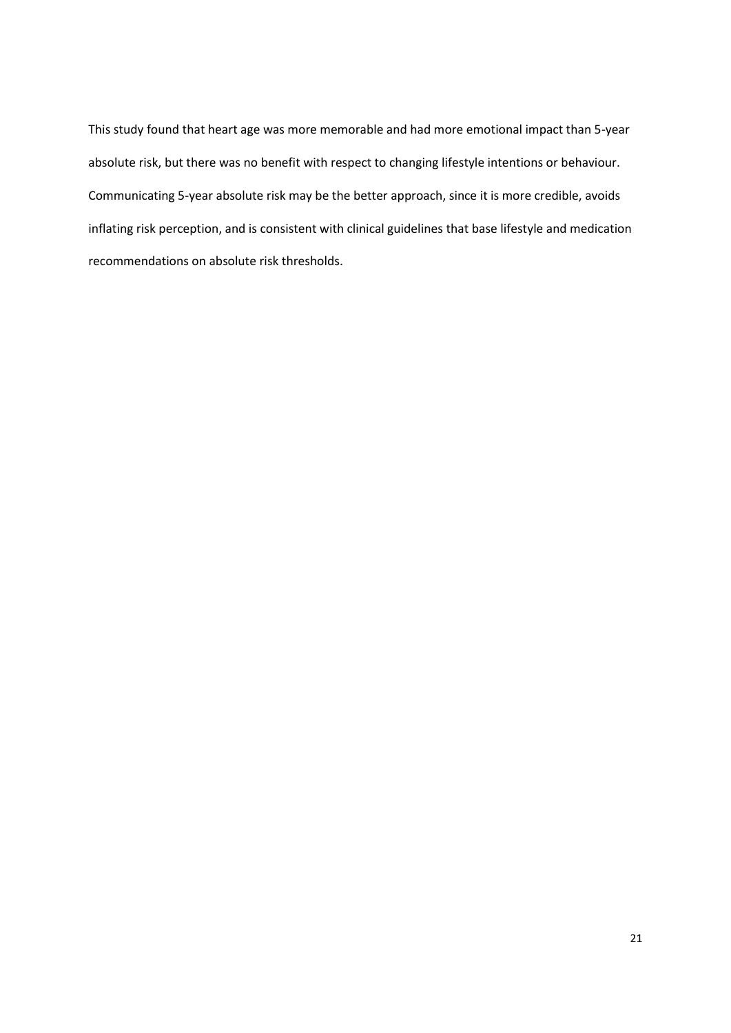This study found that heart age was more memorable and had more emotional impact than 5-year absolute risk, but there was no benefit with respect to changing lifestyle intentions or behaviour. Communicating 5-year absolute risk may be the better approach, since it is more credible, avoids inflating risk perception, and is consistent with clinical guidelines that base lifestyle and medication recommendations on absolute risk thresholds.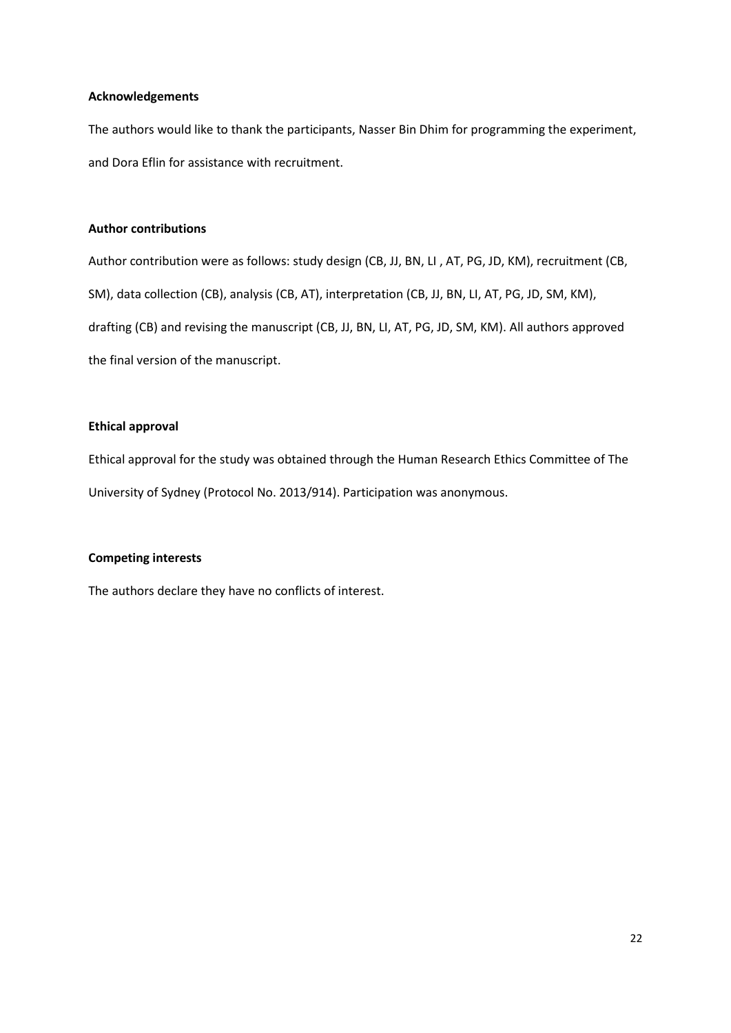## **Acknowledgements**

The authors would like to thank the participants, Nasser Bin Dhim for programming the experiment, and Dora Eflin for assistance with recruitment.

## **Author contributions**

Author contribution were as follows: study design (CB, JJ, BN, LI , AT, PG, JD, KM), recruitment (CB, SM), data collection (CB), analysis (CB, AT), interpretation (CB, JJ, BN, LI, AT, PG, JD, SM, KM), drafting (CB) and revising the manuscript (CB, JJ, BN, LI, AT, PG, JD, SM, KM). All authors approved the final version of the manuscript.

# **Ethical approval**

Ethical approval for the study was obtained through the Human Research Ethics Committee of The University of Sydney (Protocol No. 2013/914). Participation was anonymous.

## **Competing interests**

The authors declare they have no conflicts of interest.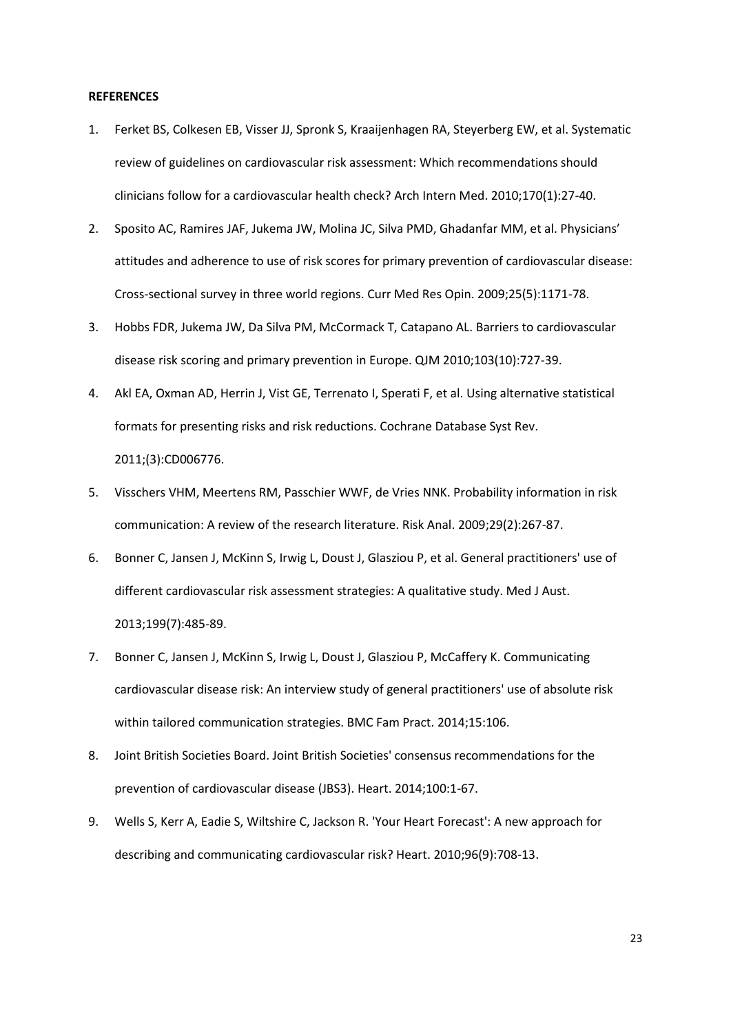#### **REFERENCES**

- 1. Ferket BS, Colkesen EB, Visser JJ, Spronk S, Kraaijenhagen RA, Steyerberg EW, et al. Systematic review of guidelines on cardiovascular risk assessment: Which recommendations should clinicians follow for a cardiovascular health check? Arch Intern Med. 2010;170(1):27-40.
- 2. Sposito AC, Ramires JAF, Jukema JW, Molina JC, Silva PMD, Ghadanfar MM, et al. Physicians' attitudes and adherence to use of risk scores for primary prevention of cardiovascular disease: Cross-sectional survey in three world regions. Curr Med Res Opin. 2009;25(5):1171-78.
- 3. Hobbs FDR, Jukema JW, Da Silva PM, McCormack T, Catapano AL. Barriers to cardiovascular disease risk scoring and primary prevention in Europe. QJM 2010;103(10):727-39.
- 4. Akl EA, Oxman AD, Herrin J, Vist GE, Terrenato I, Sperati F, et al. Using alternative statistical formats for presenting risks and risk reductions. Cochrane Database Syst Rev. 2011;(3):CD006776.
- 5. Visschers VHM, Meertens RM, Passchier WWF, de Vries NNK. Probability information in risk communication: A review of the research literature. Risk Anal. 2009;29(2):267-87.
- 6. Bonner C, Jansen J, McKinn S, Irwig L, Doust J, Glasziou P, et al. General practitioners' use of different cardiovascular risk assessment strategies: A qualitative study. Med J Aust. 2013;199(7):485-89.
- 7. Bonner C, Jansen J, McKinn S, Irwig L, Doust J, Glasziou P, McCaffery K. Communicating cardiovascular disease risk: An interview study of general practitioners' use of absolute risk within tailored communication strategies. BMC Fam Pract. 2014;15:106.
- 8. Joint British Societies Board. Joint British Societies' consensus recommendations for the prevention of cardiovascular disease (JBS3). Heart. 2014;100:1-67.
- 9. Wells S, Kerr A, Eadie S, Wiltshire C, Jackson R. 'Your Heart Forecast': A new approach for describing and communicating cardiovascular risk? Heart. 2010;96(9):708-13.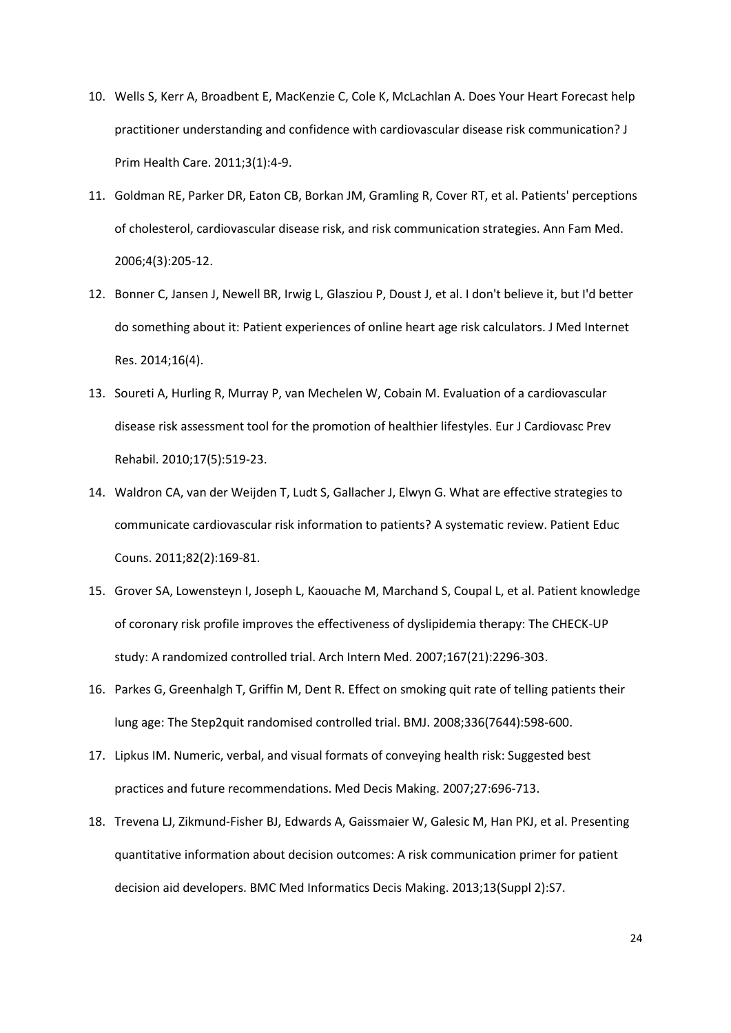- 10. Wells S, Kerr A, Broadbent E, MacKenzie C, Cole K, McLachlan A. Does Your Heart Forecast help practitioner understanding and confidence with cardiovascular disease risk communication? J Prim Health Care. 2011;3(1):4-9.
- 11. Goldman RE, Parker DR, Eaton CB, Borkan JM, Gramling R, Cover RT, et al. Patients' perceptions of cholesterol, cardiovascular disease risk, and risk communication strategies. Ann Fam Med. 2006;4(3):205-12.
- 12. Bonner C, Jansen J, Newell BR, Irwig L, Glasziou P, Doust J, et al. I don't believe it, but I'd better do something about it: Patient experiences of online heart age risk calculators. J Med Internet Res. 2014;16(4).
- 13. Soureti A, Hurling R, Murray P, van Mechelen W, Cobain M. Evaluation of a cardiovascular disease risk assessment tool for the promotion of healthier lifestyles. Eur J Cardiovasc Prev Rehabil. 2010;17(5):519-23.
- 14. Waldron CA, van der Weijden T, Ludt S, Gallacher J, Elwyn G. What are effective strategies to communicate cardiovascular risk information to patients? A systematic review. Patient Educ Couns. 2011;82(2):169-81.
- 15. Grover SA, Lowensteyn I, Joseph L, Kaouache M, Marchand S, Coupal L, et al. Patient knowledge of coronary risk profile improves the effectiveness of dyslipidemia therapy: The CHECK-UP study: A randomized controlled trial. Arch Intern Med. 2007;167(21):2296-303.
- 16. Parkes G, Greenhalgh T, Griffin M, Dent R. Effect on smoking quit rate of telling patients their lung age: The Step2quit randomised controlled trial. BMJ. 2008;336(7644):598-600.
- 17. Lipkus IM. Numeric, verbal, and visual formats of conveying health risk: Suggested best practices and future recommendations. Med Decis Making. 2007;27:696-713.
- 18. Trevena LJ, Zikmund-Fisher BJ, Edwards A, Gaissmaier W, Galesic M, Han PKJ, et al. Presenting quantitative information about decision outcomes: A risk communication primer for patient decision aid developers. BMC Med Informatics Decis Making. 2013;13(Suppl 2):S7.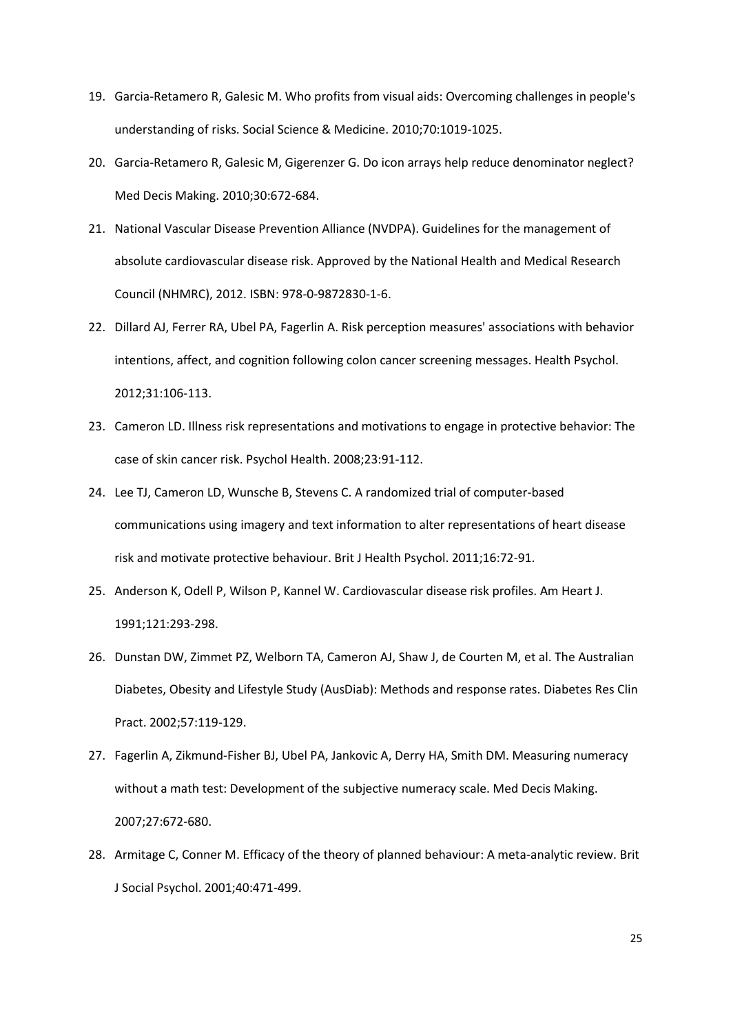- 19. Garcia-Retamero R, Galesic M. Who profits from visual aids: Overcoming challenges in people's understanding of risks. Social Science & Medicine. 2010;70:1019-1025.
- 20. Garcia-Retamero R, Galesic M, Gigerenzer G. Do icon arrays help reduce denominator neglect? Med Decis Making. 2010;30:672-684.
- 21. National Vascular Disease Prevention Alliance (NVDPA). Guidelines for the management of absolute cardiovascular disease risk. Approved by the National Health and Medical Research Council (NHMRC), 2012. ISBN: 978-0-9872830-1-6.
- 22. Dillard AJ, Ferrer RA, Ubel PA, Fagerlin A. Risk perception measures' associations with behavior intentions, affect, and cognition following colon cancer screening messages. Health Psychol. 2012;31:106-113.
- 23. Cameron LD. Illness risk representations and motivations to engage in protective behavior: The case of skin cancer risk. Psychol Health. 2008;23:91-112.
- 24. Lee TJ, Cameron LD, Wunsche B, Stevens C. A randomized trial of computer-based communications using imagery and text information to alter representations of heart disease risk and motivate protective behaviour. Brit J Health Psychol. 2011;16:72-91.
- 25. Anderson K, Odell P, Wilson P, Kannel W. Cardiovascular disease risk profiles. Am Heart J. 1991;121:293-298.
- 26. Dunstan DW, Zimmet PZ, Welborn TA, Cameron AJ, Shaw J, de Courten M, et al. The Australian Diabetes, Obesity and Lifestyle Study (AusDiab): Methods and response rates. Diabetes Res Clin Pract. 2002;57:119-129.
- 27. Fagerlin A, Zikmund-Fisher BJ, Ubel PA, Jankovic A, Derry HA, Smith DM. Measuring numeracy without a math test: Development of the subjective numeracy scale. Med Decis Making. 2007;27:672-680.
- 28. Armitage C, Conner M. Efficacy of the theory of planned behaviour: A meta-analytic review. Brit J Social Psychol. 2001;40:471-499.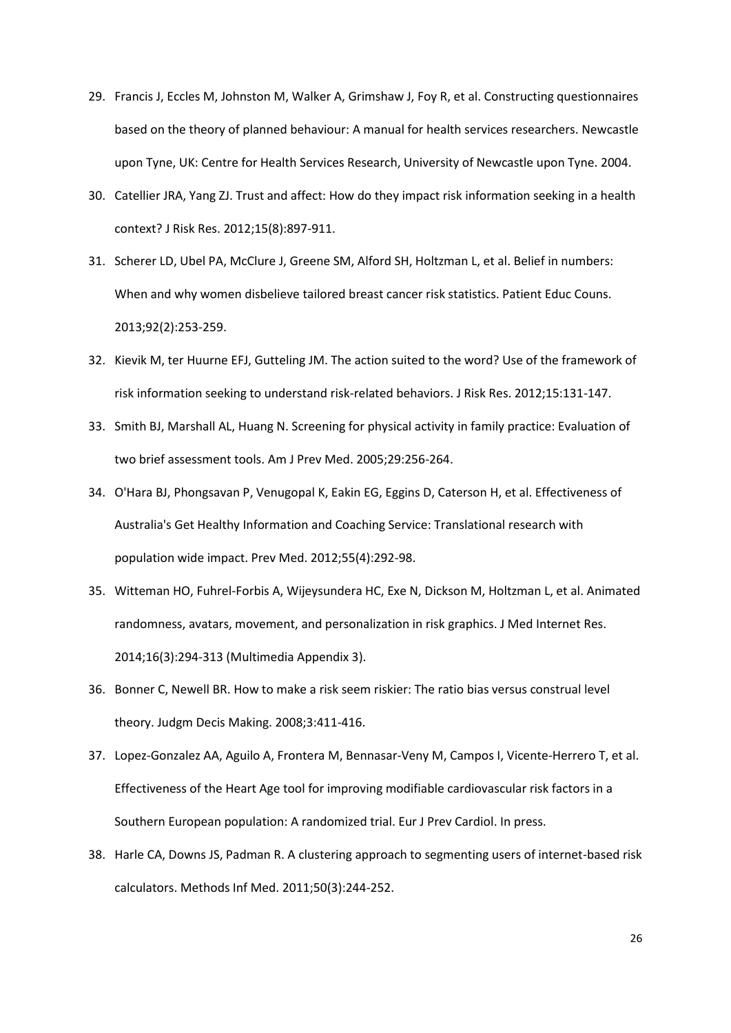- 29. Francis J, Eccles M, Johnston M, Walker A, Grimshaw J, Foy R, et al. Constructing questionnaires based on the theory of planned behaviour: A manual for health services researchers. Newcastle upon Tyne, UK: Centre for Health Services Research, University of Newcastle upon Tyne. 2004.
- 30. Catellier JRA, Yang ZJ. Trust and affect: How do they impact risk information seeking in a health context? J Risk Res. 2012;15(8):897-911.
- 31. Scherer LD, Ubel PA, McClure J, Greene SM, Alford SH, Holtzman L, et al. Belief in numbers: When and why women disbelieve tailored breast cancer risk statistics. Patient Educ Couns. 2013;92(2):253-259.
- 32. Kievik M, ter Huurne EFJ, Gutteling JM. The action suited to the word? Use of the framework of risk information seeking to understand risk-related behaviors. J Risk Res. 2012;15:131-147.
- 33. Smith BJ, Marshall AL, Huang N. Screening for physical activity in family practice: Evaluation of two brief assessment tools. Am J Prev Med. 2005;29:256-264.
- 34. O'Hara BJ, Phongsavan P, Venugopal K, Eakin EG, Eggins D, Caterson H, et al. Effectiveness of Australia's Get Healthy Information and Coaching Service: Translational research with population wide impact. Prev Med. 2012;55(4):292-98.
- 35. Witteman HO, Fuhrel-Forbis A, Wijeysundera HC, Exe N, Dickson M, Holtzman L, et al. Animated randomness, avatars, movement, and personalization in risk graphics. J Med Internet Res. 2014;16(3):294-313 (Multimedia Appendix 3).
- 36. Bonner C, Newell BR. How to make a risk seem riskier: The ratio bias versus construal level theory. Judgm Decis Making. 2008;3:411-416.
- 37. Lopez-Gonzalez AA, Aguilo A, Frontera M, Bennasar-Veny M, Campos I, Vicente-Herrero T, et al. Effectiveness of the Heart Age tool for improving modifiable cardiovascular risk factors in a Southern European population: A randomized trial. Eur J Prev Cardiol. In press.
- 38. Harle CA, Downs JS, Padman R. A clustering approach to segmenting users of internet-based risk calculators. Methods Inf Med. 2011;50(3):244-252.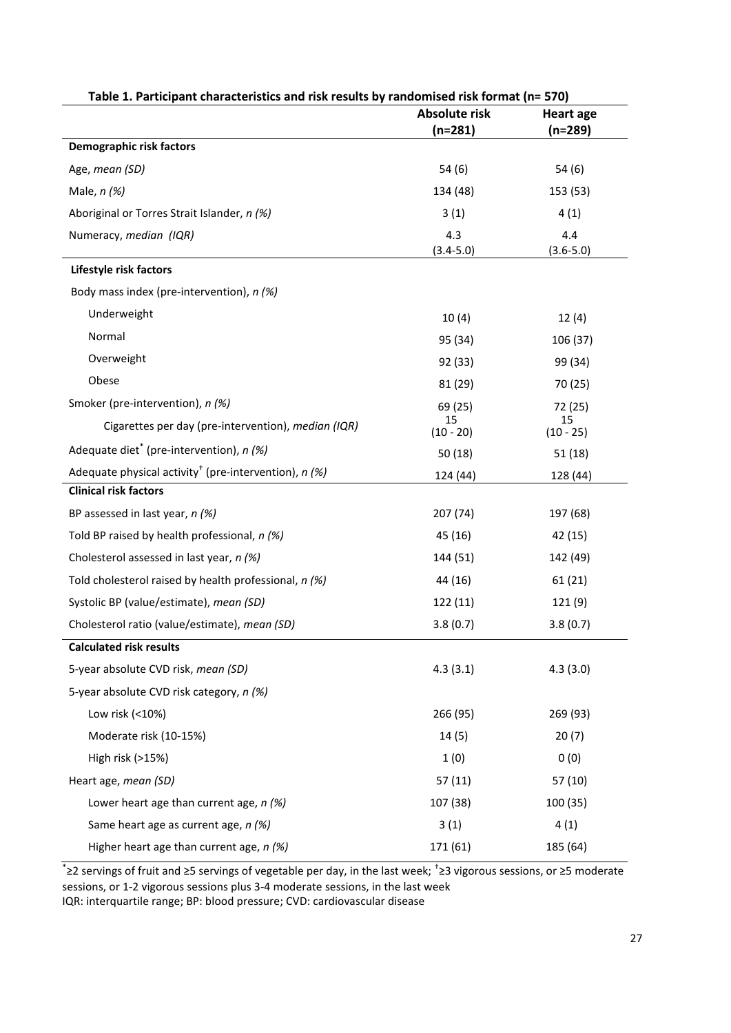|                                                                     | Table 1. Participant characteristics and risk results by randomised risk format (n= 570) |                        |  |  |
|---------------------------------------------------------------------|------------------------------------------------------------------------------------------|------------------------|--|--|
|                                                                     | <b>Absolute risk</b><br>$(n=281)$                                                        | Heart age<br>$(n=289)$ |  |  |
| Demographic risk factors                                            |                                                                                          |                        |  |  |
| Age, mean (SD)                                                      | 54(6)                                                                                    | 54 (6)                 |  |  |
| Male, $n$ (%)                                                       | 134 (48)                                                                                 | 153 (53)               |  |  |
| Aboriginal or Torres Strait Islander, n (%)                         | 3(1)                                                                                     | 4(1)                   |  |  |
| Numeracy, median (IQR)                                              | 4.3<br>$(3.4 - 5.0)$                                                                     | 4.4<br>$(3.6 - 5.0)$   |  |  |
| Lifestyle risk factors                                              |                                                                                          |                        |  |  |
| Body mass index (pre-intervention), n (%)                           |                                                                                          |                        |  |  |
| Underweight                                                         | 10(4)                                                                                    | 12(4)                  |  |  |
| Normal                                                              | 95 (34)                                                                                  | 106 (37)               |  |  |
| Overweight                                                          | 92 (33)                                                                                  | 99 (34)                |  |  |
| Obese                                                               | 81 (29)                                                                                  | 70 (25)                |  |  |
| Smoker (pre-intervention), n (%)                                    | 69 (25)                                                                                  | 72 (25)                |  |  |
| Cigarettes per day (pre-intervention), median (IQR)                 | 15<br>$(10 - 20)$                                                                        | 15<br>$(10 - 25)$      |  |  |
| Adequate diet <sup>*</sup> (pre-intervention), n (%)                | 50 (18)                                                                                  | 51 (18)                |  |  |
| Adequate physical activity <sup>†</sup> (pre-intervention), $n$ (%) | 124 (44)                                                                                 | 128 (44)               |  |  |
| <b>Clinical risk factors</b>                                        |                                                                                          |                        |  |  |
| BP assessed in last year, n (%)                                     | 207 (74)                                                                                 | 197 (68)               |  |  |
| Told BP raised by health professional, n (%)                        | 45 (16)                                                                                  | 42 (15)                |  |  |
| Cholesterol assessed in last year, n (%)                            | 144 (51)                                                                                 | 142 (49)               |  |  |
| Told cholesterol raised by health professional, n (%)               | 44 (16)                                                                                  | 61 (21)                |  |  |
| Systolic BP (value/estimate), mean (SD)                             | 122(11)                                                                                  | 121(9)                 |  |  |
| Cholesterol ratio (value/estimate), mean (SD)                       | 3.8(0.7)                                                                                 | 3.8(0.7)               |  |  |
| <b>Calculated risk results</b>                                      |                                                                                          |                        |  |  |
| 5-year absolute CVD risk, mean (SD)                                 | 4.3(3.1)                                                                                 | 4.3(3.0)               |  |  |
| 5-year absolute CVD risk category, n (%)                            |                                                                                          |                        |  |  |
| Low risk (<10%)                                                     | 266 (95)                                                                                 | 269 (93)               |  |  |
| Moderate risk (10-15%)                                              | 14 (5)                                                                                   | 20(7)                  |  |  |
| High risk (>15%)                                                    | 1(0)                                                                                     | 0(0)                   |  |  |
| Heart age, mean (SD)                                                | 57 (11)                                                                                  | 57 (10)                |  |  |
| Lower heart age than current age, $n$ (%)                           | 107 (38)                                                                                 | 100 (35)               |  |  |
| Same heart age as current age, n (%)                                | 3(1)                                                                                     | 4(1)                   |  |  |
| Higher heart age than current age, $n$ (%)                          | 171 (61)                                                                                 | 185 (64)               |  |  |

\* ≥2 servings of fruit and ≥5 servings of vegetable per day, in the last week; † ≥3 vigorous sessions, or ≥5 moderate sessions, or 1-2 vigorous sessions plus 3-4 moderate sessions, in the last week

IQR: interquartile range; BP: blood pressure; CVD: cardiovascular disease